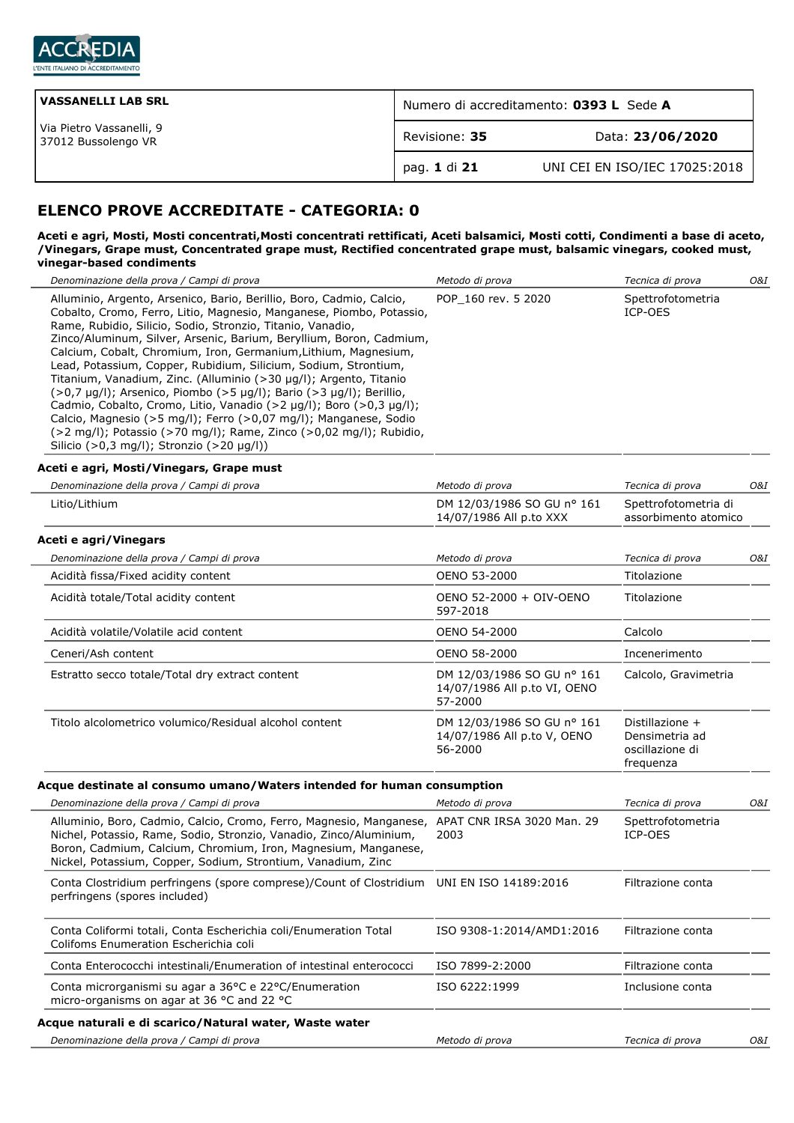

| <b>VASSANELLI LAB SRL</b>                       | Numero di accreditamento: 0393 L Sede A |                               |
|-------------------------------------------------|-----------------------------------------|-------------------------------|
| Via Pietro Vassanelli, 9<br>37012 Bussolengo VR | Revisione: 35                           | Data: 23/06/2020              |
|                                                 | `pag. 1 di 21                           | UNI CEI EN ISO/IEC 17025:2018 |

# **ELENCO PROVE ACCREDITATE - CATEGORIA: 0**

#### **Aceti e agri, Mosti, Mosti concentrati,Mosti concentrati rettificati, Aceti balsamici, Mosti cotti, Condimenti a base di aceto, /Vinegars, Grape must, Concentrated grape must, Rectified concentrated grape must, balsamic vinegars, cooked must, vinegar-based condiments**

| Denominazione della prova / Campi di prova                                                                |                                                                                                                                                                                                                                                                                                                                                                                                                                                                                                                                                                                                                                                                                                                        | Metodo di prova                                                       | Tecnica di prova                                                  | 0&I |
|-----------------------------------------------------------------------------------------------------------|------------------------------------------------------------------------------------------------------------------------------------------------------------------------------------------------------------------------------------------------------------------------------------------------------------------------------------------------------------------------------------------------------------------------------------------------------------------------------------------------------------------------------------------------------------------------------------------------------------------------------------------------------------------------------------------------------------------------|-----------------------------------------------------------------------|-------------------------------------------------------------------|-----|
| Rame, Rubidio, Silicio, Sodio, Stronzio, Titanio, Vanadio,<br>Silicio (>0,3 mg/l); Stronzio (>20 µg/l))   | Alluminio, Argento, Arsenico, Bario, Berillio, Boro, Cadmio, Calcio,<br>Cobalto, Cromo, Ferro, Litio, Magnesio, Manganese, Piombo, Potassio,<br>Zinco/Aluminum, Silver, Arsenic, Barium, Beryllium, Boron, Cadmium,<br>Calcium, Cobalt, Chromium, Iron, Germanium, Lithium, Magnesium,<br>Lead, Potassium, Copper, Rubidium, Silicium, Sodium, Strontium,<br>Titanium, Vanadium, Zinc. (Alluminio (>30 µg/l); Argento, Titanio<br>(>0,7 µg/l); Arsenico, Piombo (>5 µg/l); Bario (>3 µg/l); Berillio,<br>Cadmio, Cobalto, Cromo, Litio, Vanadio (>2 µg/l); Boro (>0,3 µg/l);<br>Calcio, Magnesio (>5 mg/l); Ferro (>0,07 mg/l); Manganese, Sodio<br>(>2 mg/l); Potassio (>70 mg/l); Rame, Zinco (>0,02 mg/l); Rubidio, | POP 160 rev. 5 2020                                                   | Spettrofotometria<br>ICP-OES                                      |     |
| Aceti e agri, Mosti/Vinegars, Grape must                                                                  |                                                                                                                                                                                                                                                                                                                                                                                                                                                                                                                                                                                                                                                                                                                        |                                                                       |                                                                   |     |
| Denominazione della prova / Campi di prova                                                                |                                                                                                                                                                                                                                                                                                                                                                                                                                                                                                                                                                                                                                                                                                                        | Metodo di prova                                                       | Tecnica di prova                                                  | O&I |
| Litio/Lithium                                                                                             |                                                                                                                                                                                                                                                                                                                                                                                                                                                                                                                                                                                                                                                                                                                        | DM 12/03/1986 SO GU nº 161<br>14/07/1986 All p.to XXX                 | Spettrofotometria di<br>assorbimento atomico                      |     |
| Aceti e agri/Vinegars                                                                                     |                                                                                                                                                                                                                                                                                                                                                                                                                                                                                                                                                                                                                                                                                                                        |                                                                       |                                                                   |     |
| Denominazione della prova / Campi di prova                                                                |                                                                                                                                                                                                                                                                                                                                                                                                                                                                                                                                                                                                                                                                                                                        | Metodo di prova                                                       | Tecnica di prova                                                  | O&I |
| Acidità fissa/Fixed acidity content                                                                       |                                                                                                                                                                                                                                                                                                                                                                                                                                                                                                                                                                                                                                                                                                                        | OENO 53-2000                                                          | Titolazione                                                       |     |
| Acidità totale/Total acidity content                                                                      |                                                                                                                                                                                                                                                                                                                                                                                                                                                                                                                                                                                                                                                                                                                        | OENO 52-2000 + OIV-OENO<br>597-2018                                   | Titolazione                                                       |     |
| Acidità volatile/Volatile acid content                                                                    |                                                                                                                                                                                                                                                                                                                                                                                                                                                                                                                                                                                                                                                                                                                        | OENO 54-2000                                                          | Calcolo                                                           |     |
| Ceneri/Ash content                                                                                        |                                                                                                                                                                                                                                                                                                                                                                                                                                                                                                                                                                                                                                                                                                                        | OENO 58-2000                                                          | Incenerimento                                                     |     |
| Estratto secco totale/Total dry extract content                                                           |                                                                                                                                                                                                                                                                                                                                                                                                                                                                                                                                                                                                                                                                                                                        | DM 12/03/1986 SO GU nº 161<br>14/07/1986 All p.to VI, OENO<br>57-2000 | Calcolo, Gravimetria                                              |     |
| Titolo alcolometrico volumico/Residual alcohol content                                                    |                                                                                                                                                                                                                                                                                                                                                                                                                                                                                                                                                                                                                                                                                                                        | DM 12/03/1986 SO GU nº 161<br>14/07/1986 All p.to V, OENO<br>56-2000  | Distillazione +<br>Densimetria ad<br>oscillazione di<br>frequenza |     |
|                                                                                                           | Acque destinate al consumo umano/Waters intended for human consumption                                                                                                                                                                                                                                                                                                                                                                                                                                                                                                                                                                                                                                                 |                                                                       |                                                                   |     |
| Denominazione della prova / Campi di prova                                                                |                                                                                                                                                                                                                                                                                                                                                                                                                                                                                                                                                                                                                                                                                                                        | Metodo di prova                                                       | Tecnica di prova                                                  | 0&I |
| Nickel, Potassium, Copper, Sodium, Strontium, Vanadium, Zinc                                              | Alluminio, Boro, Cadmio, Calcio, Cromo, Ferro, Magnesio, Manganese, APAT CNR IRSA 3020 Man. 29<br>Nichel, Potassio, Rame, Sodio, Stronzio, Vanadio, Zinco/Aluminium,<br>Boron, Cadmium, Calcium, Chromium, Iron, Magnesium, Manganese,                                                                                                                                                                                                                                                                                                                                                                                                                                                                                 | 2003                                                                  | Spettrofotometria<br>ICP-OES                                      |     |
| perfringens (spores included)                                                                             | Conta Clostridium perfringens (spore comprese)/Count of Clostridium UNI EN ISO 14189:2016                                                                                                                                                                                                                                                                                                                                                                                                                                                                                                                                                                                                                              |                                                                       | Filtrazione conta                                                 |     |
| Conta Coliformi totali, Conta Escherichia coli/Enumeration Total<br>Colifoms Enumeration Escherichia coli |                                                                                                                                                                                                                                                                                                                                                                                                                                                                                                                                                                                                                                                                                                                        | ISO 9308-1:2014/AMD1:2016                                             | Filtrazione conta                                                 |     |
|                                                                                                           | Conta Enterococchi intestinali/Enumeration of intestinal enterococci                                                                                                                                                                                                                                                                                                                                                                                                                                                                                                                                                                                                                                                   | ISO 7899-2:2000                                                       | Filtrazione conta                                                 |     |
| Conta microrganismi su agar a 36°C e 22°C/Enumeration<br>micro-organisms on agar at 36 °C and 22 °C       |                                                                                                                                                                                                                                                                                                                                                                                                                                                                                                                                                                                                                                                                                                                        | ISO 6222:1999                                                         | Inclusione conta                                                  |     |
| Acque naturali e di scarico/Natural water, Waste water                                                    |                                                                                                                                                                                                                                                                                                                                                                                                                                                                                                                                                                                                                                                                                                                        |                                                                       |                                                                   |     |
| Denominazione della prova / Campi di prova                                                                |                                                                                                                                                                                                                                                                                                                                                                                                                                                                                                                                                                                                                                                                                                                        | Metodo di prova                                                       | Tecnica di prova                                                  | O&I |
|                                                                                                           |                                                                                                                                                                                                                                                                                                                                                                                                                                                                                                                                                                                                                                                                                                                        |                                                                       |                                                                   |     |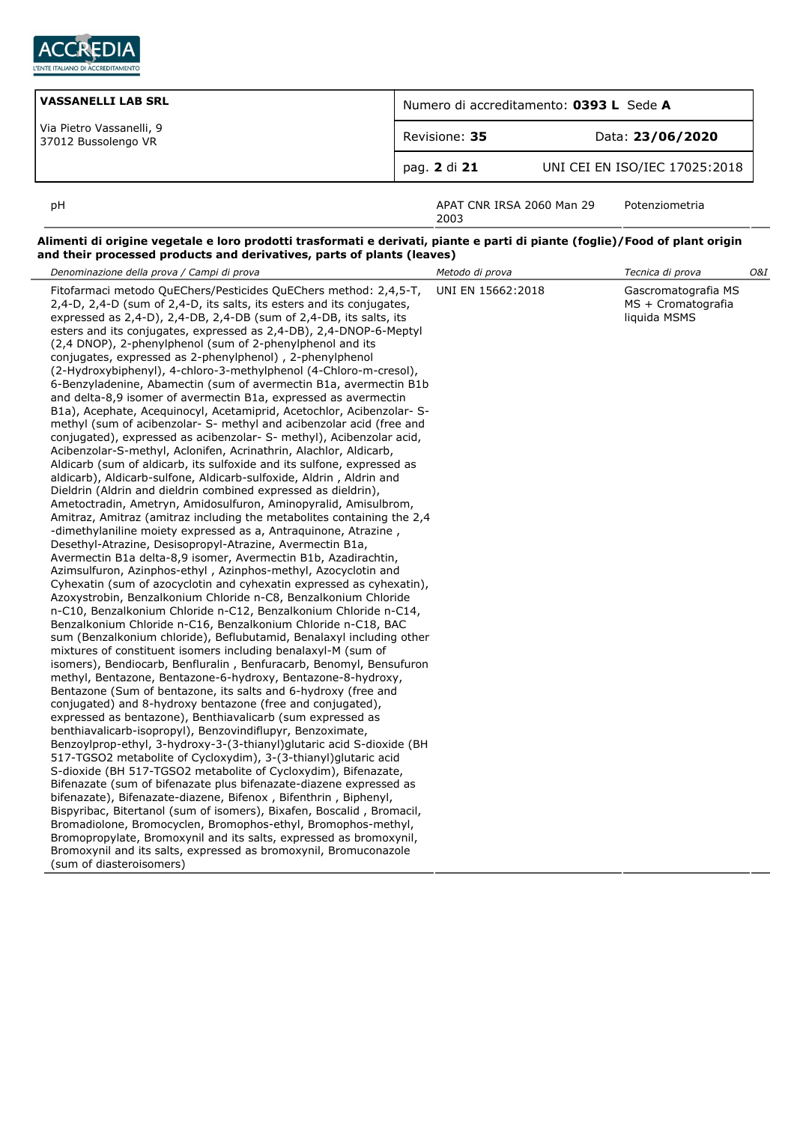

| VASSANELLI LAB SRL                              | Numero di accreditamento: 0393 L Sede A |                               |
|-------------------------------------------------|-----------------------------------------|-------------------------------|
| Via Pietro Vassanelli, 9<br>37012 Bussolengo VR | Revisione: 35                           | Data: 23/06/2020              |
|                                                 | pag. 2 di 21                            | UNI CEI EN ISO/IEC 17025:2018 |
| рH                                              | APAT CNR IRSA 2060 Man 29               | Potenziometria                |

2003

## **Alimenti di origine vegetale e loro prodotti trasformati e derivati, piante e parti di piante (foglie)/Food of plant origin and their processed products and derivatives, parts of plants (leaves)**

| Denominazione della prova / Campi di prova                                                                                                                                                                                                                                                                                                                                                                                                                                                                                                                                                                                                                                                                                                                                                                                                                                                                                                                                                                                                                                                                                                                                                                                                                                                                                                                                                                                                                                                                                                                                                                                                                                                                                                                                                                                                                                                                                                                                                                                                                                                                                                                                                                                                                                                                                                                                                                                                                                                                                                                                                                                                                                                                                                                                                                                                                                                                                                                                                                                                                       | Metodo di prova   | Tecnica di prova                                          | O&I |
|------------------------------------------------------------------------------------------------------------------------------------------------------------------------------------------------------------------------------------------------------------------------------------------------------------------------------------------------------------------------------------------------------------------------------------------------------------------------------------------------------------------------------------------------------------------------------------------------------------------------------------------------------------------------------------------------------------------------------------------------------------------------------------------------------------------------------------------------------------------------------------------------------------------------------------------------------------------------------------------------------------------------------------------------------------------------------------------------------------------------------------------------------------------------------------------------------------------------------------------------------------------------------------------------------------------------------------------------------------------------------------------------------------------------------------------------------------------------------------------------------------------------------------------------------------------------------------------------------------------------------------------------------------------------------------------------------------------------------------------------------------------------------------------------------------------------------------------------------------------------------------------------------------------------------------------------------------------------------------------------------------------------------------------------------------------------------------------------------------------------------------------------------------------------------------------------------------------------------------------------------------------------------------------------------------------------------------------------------------------------------------------------------------------------------------------------------------------------------------------------------------------------------------------------------------------------------------------------------------------------------------------------------------------------------------------------------------------------------------------------------------------------------------------------------------------------------------------------------------------------------------------------------------------------------------------------------------------------------------------------------------------------------------------------------------------|-------------------|-----------------------------------------------------------|-----|
| Fitofarmaci metodo QuEChers/Pesticides QuEChers method: 2,4,5-T,<br>2,4-D, 2,4-D (sum of 2,4-D, its salts, its esters and its conjugates,<br>expressed as 2,4-D), 2,4-DB, 2,4-DB (sum of 2,4-DB, its salts, its<br>esters and its conjugates, expressed as 2,4-DB), 2,4-DNOP-6-Meptyl<br>(2,4 DNOP), 2-phenylphenol (sum of 2-phenylphenol and its<br>conjugates, expressed as 2-phenylphenol), 2-phenylphenol<br>(2-Hydroxybiphenyl), 4-chloro-3-methylphenol (4-Chloro-m-cresol),<br>6-Benzyladenine, Abamectin (sum of avermectin B1a, avermectin B1b<br>and delta-8,9 isomer of avermectin B1a, expressed as avermectin<br>B1a), Acephate, Acequinocyl, Acetamiprid, Acetochlor, Acibenzolar- S-<br>methyl (sum of acibenzolar- S- methyl and acibenzolar acid (free and<br>conjugated), expressed as acibenzolar- S- methyl), Acibenzolar acid,<br>Acibenzolar-S-methyl, Aclonifen, Acrinathrin, Alachlor, Aldicarb,<br>Aldicarb (sum of aldicarb, its sulfoxide and its sulfone, expressed as<br>aldicarb), Aldicarb-sulfone, Aldicarb-sulfoxide, Aldrin, Aldrin and<br>Dieldrin (Aldrin and dieldrin combined expressed as dieldrin),<br>Ametoctradin, Ametryn, Amidosulfuron, Aminopyralid, Amisulbrom,<br>Amitraz, Amitraz (amitraz including the metabolites containing the 2,4<br>-dimethylaniline moiety expressed as a, Antraguinone, Atrazine,<br>Desethyl-Atrazine, Desisopropyl-Atrazine, Avermectin B1a,<br>Avermectin B1a delta-8,9 isomer, Avermectin B1b, Azadirachtin,<br>Azimsulfuron, Azinphos-ethyl, Azinphos-methyl, Azocyclotin and<br>Cyhexatin (sum of azocyclotin and cyhexatin expressed as cyhexatin),<br>Azoxystrobin, Benzalkonium Chloride n-C8, Benzalkonium Chloride<br>n-C10, Benzalkonium Chloride n-C12, Benzalkonium Chloride n-C14,<br>Benzalkonium Chloride n-C16, Benzalkonium Chloride n-C18, BAC<br>sum (Benzalkonium chloride), Beflubutamid, Benalaxyl including other<br>mixtures of constituent isomers including benalaxyl-M (sum of<br>isomers), Bendiocarb, Benfluralin, Benfuracarb, Benomyl, Bensufuron<br>methyl, Bentazone, Bentazone-6-hydroxy, Bentazone-8-hydroxy,<br>Bentazone (Sum of bentazone, its salts and 6-hydroxy (free and<br>conjugated) and 8-hydroxy bentazone (free and conjugated),<br>expressed as bentazone), Benthiavalicarb (sum expressed as<br>benthiavalicarb-isopropyl), Benzovindiflupyr, Benzoximate,<br>Benzoylprop-ethyl, 3-hydroxy-3-(3-thianyl)glutaric acid S-dioxide (BH<br>517-TGSO2 metabolite of Cycloxydim), 3-(3-thianyl)glutaric acid<br>S-dioxide (BH 517-TGSO2 metabolite of Cycloxydim), Bifenazate,<br>Bifenazate (sum of bifenazate plus bifenazate-diazene expressed as<br>bifenazate), Bifenazate-diazene, Bifenox, Bifenthrin, Biphenyl,<br>Bispyribac, Bitertanol (sum of isomers), Bixafen, Boscalid, Bromacil,<br>Bromadiolone, Bromocyclen, Bromophos-ethyl, Bromophos-methyl,<br>Bromopropylate, Bromoxynil and its salts, expressed as bromoxynil,<br>Bromoxynil and its salts, expressed as bromoxynil, Bromuconazole<br>(sum of diasteroisomers) | UNI EN 15662:2018 | Gascromatografia MS<br>MS + Cromatografia<br>liquida MSMS |     |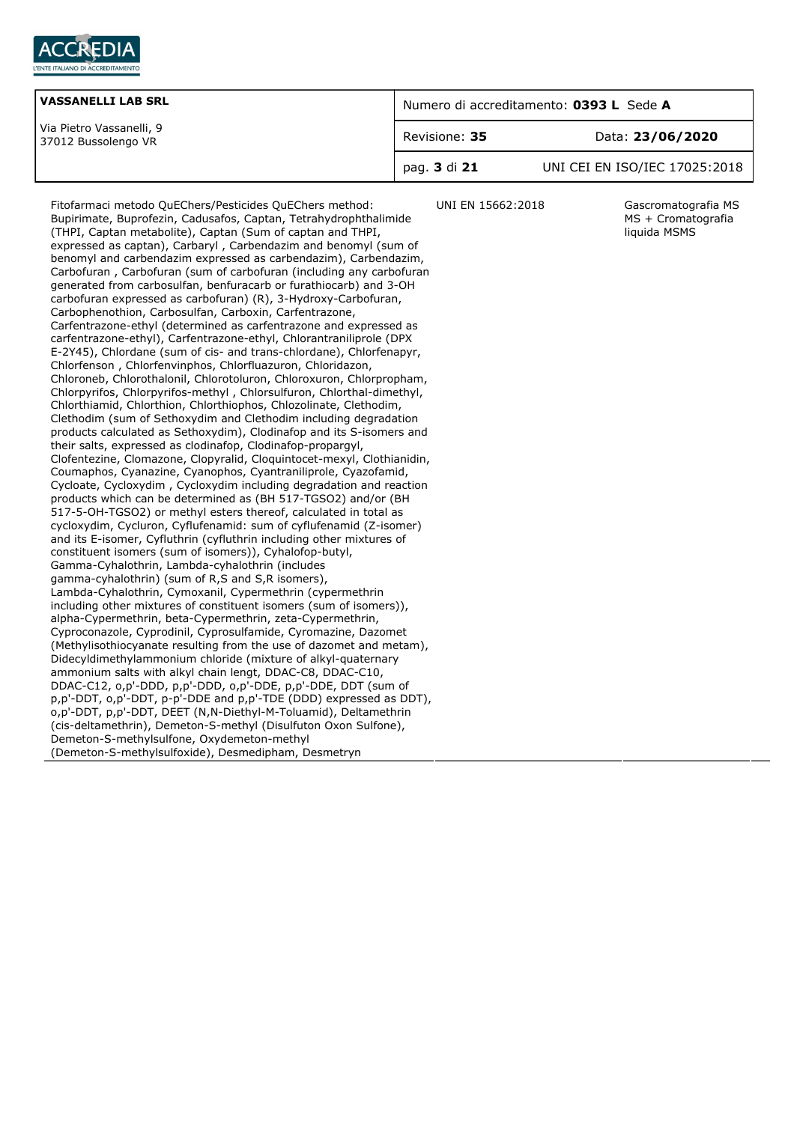

| <b>VASSANELLI LAB SRL</b>                       | Numero di accreditamento: 0393 L Sede A |                               |
|-------------------------------------------------|-----------------------------------------|-------------------------------|
| Via Pietro Vassanelli, 9<br>37012 Bussolengo VR | Revisione: 35                           | Data: 23/06/2020              |
|                                                 | pag. 3 di 21                            | UNI CEI EN ISO/IEC 17025:2018 |

Fitofarmaci metodo QuEChers/Pesticides QuEChers method: Bupirimate, Buprofezin, Cadusafos, Captan, Tetrahydrophthalimide (THPI, Captan metabolite), Captan (Sum of captan and THPI, expressed as captan), Carbaryl , Carbendazim and benomyl (sum of benomyl and carbendazim expressed as carbendazim), Carbendazim, Carbofuran , Carbofuran (sum of carbofuran (including any carbofuran generated from carbosulfan, benfuracarb or furathiocarb) and 3-OH carbofuran expressed as carbofuran) (R), 3-Hydroxy-Carbofuran, Carbophenothion, Carbosulfan, Carboxin, Carfentrazone, Carfentrazone-ethyl (determined as carfentrazone and expressed as carfentrazone-ethyl), Carfentrazone-ethyl, Chlorantraniliprole (DPX E-2Y45), Chlordane (sum of cis- and trans-chlordane), Chlorfenapyr, Chlorfenson , Chlorfenvinphos, Chlorfluazuron, Chloridazon, Chloroneb, Chlorothalonil, Chlorotoluron, Chloroxuron, Chlorpropham, Chlorpyrifos, Chlorpyrifos-methyl , Chlorsulfuron, Chlorthal-dimethyl, Chlorthiamid, Chlorthion, Chlorthiophos, Chlozolinate, Clethodim, Clethodim (sum of Sethoxydim and Clethodim including degradation products calculated as Sethoxydim), Clodinafop and its S-isomers and their salts, expressed as clodinafop, Clodinafop-propargyl, Clofentezine, Clomazone, Clopyralid, Cloquintocet-mexyl, Clothianidin, Coumaphos, Cyanazine, Cyanophos, Cyantraniliprole, Cyazofamid, Cycloate, Cycloxydim , Cycloxydim including degradation and reaction products which can be determined as (BH 517-TGSO2) and/or (BH 517-5-OH-TGSO2) or methyl esters thereof, calculated in total as cycloxydim, Cycluron, Cyflufenamid: sum of cyflufenamid (Z-isomer) and its E-isomer, Cyfluthrin (cyfluthrin including other mixtures of constituent isomers (sum of isomers)), Cyhalofop-butyl, Gamma-Cyhalothrin, Lambda-cyhalothrin (includes gamma-cyhalothrin) (sum of R,S and S,R isomers), Lambda-Cyhalothrin, Cymoxanil, Cypermethrin (cypermethrin including other mixtures of constituent isomers (sum of isomers)), alpha-Cypermethrin, beta-Cypermethrin, zeta-Cypermethrin, Cyproconazole, Cyprodinil, Cyprosulfamide, Cyromazine, Dazomet (Methylisothiocyanate resulting from the use of dazomet and metam), Didecyldimethylammonium chloride (mixture of alkyl-quaternary ammonium salts with alkyl chain lengt, DDAC-C8, DDAC-C10, DDAC-C12, o,p'-DDD, p,p'-DDD, o,p'-DDE, p,p'-DDE, DDT (sum of p,p'-DDT, o,p'-DDT, p-p'-DDE and p,p'-TDE (DDD) expressed as DDT), o,p'-DDT, p,p'-DDT, DEET (N,N-Diethyl-M-Toluamid), Deltamethrin (cis-deltamethrin), Demeton-S-methyl (Disulfuton Oxon Sulfone), Demeton-S-methylsulfone, Oxydemeton-methyl (Demeton-S-methylsulfoxide), Desmedipham, Desmetryn

UNI EN 15662:2018 Gascromatografia MS MS + Cromatografia liquida MSMS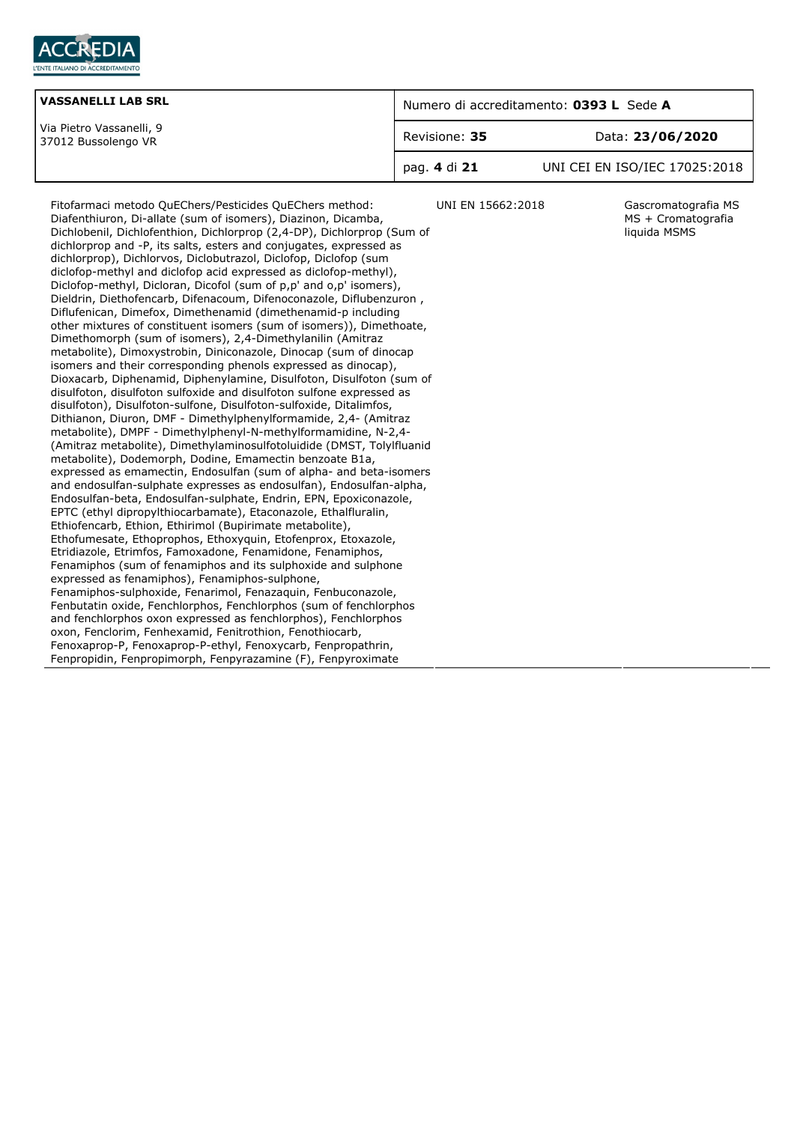

| <b>VASSANELLI LAB SRL</b>                       | Numero di accreditamento: 0393 L Sede A |                               |
|-------------------------------------------------|-----------------------------------------|-------------------------------|
| Via Pietro Vassanelli, 9<br>37012 Bussolengo VR | Revisione: 35                           | Data: 23/06/2020              |
|                                                 | pag. 4 di 21                            | UNI CEI EN ISO/IEC 17025:2018 |

Diafenthiuron, Di-allate (sum of isomers), Diazinon, Dicamba, Dichlobenil, Dichlofenthion, Dichlorprop (2,4-DP), Dichlorprop (Sum of dichlorprop and -P, its salts, esters and conjugates, expressed as dichlorprop), Dichlorvos, Diclobutrazol, Diclofop, Diclofop (sum diclofop-methyl and diclofop acid expressed as diclofop-methyl), Diclofop-methyl, Dicloran, Dicofol (sum of p,p' and o,p' isomers), Dieldrin, Diethofencarb, Difenacoum, Difenoconazole, Diflubenzuron , Diflufenican, Dimefox, Dimethenamid (dimethenamid-p including other mixtures of constituent isomers (sum of isomers)), Dimethoate, Dimethomorph (sum of isomers), 2,4-Dimethylanilin (Amitraz metabolite), Dimoxystrobin, Diniconazole, Dinocap (sum of dinocap isomers and their corresponding phenols expressed as dinocap), Dioxacarb, Diphenamid, Diphenylamine, Disulfoton, Disulfoton (sum of disulfoton, disulfoton sulfoxide and disulfoton sulfone expressed as disulfoton), Disulfoton-sulfone, Disulfoton-sulfoxide, Ditalimfos, Dithianon, Diuron, DMF - Dimethylphenylformamide, 2,4- (Amitraz metabolite), DMPF - Dimethylphenyl-N-methylformamidine, N-2,4- (Amitraz metabolite), Dimethylaminosulfotoluidide (DMST, Tolylfluanid metabolite), Dodemorph, Dodine, Emamectin benzoate B1a, expressed as emamectin, Endosulfan (sum of alpha- and beta-isomers and endosulfan-sulphate expresses as endosulfan), Endosulfan-alpha, Endosulfan-beta, Endosulfan-sulphate, Endrin, EPN, Epoxiconazole, EPTC (ethyl dipropylthiocarbamate), Etaconazole, Ethalfluralin, Ethiofencarb, Ethion, Ethirimol (Bupirimate metabolite), Ethofumesate, Ethoprophos, Ethoxyquin, Etofenprox, Etoxazole, Etridiazole, Etrimfos, Famoxadone, Fenamidone, Fenamiphos, Fenamiphos (sum of fenamiphos and its sulphoxide and sulphone expressed as fenamiphos), Fenamiphos-sulphone, Fenamiphos-sulphoxide, Fenarimol, Fenazaquin, Fenbuconazole, Fenbutatin oxide, Fenchlorphos, Fenchlorphos (sum of fenchlorphos and fenchlorphos oxon expressed as fenchlorphos), Fenchlorphos oxon, Fenclorim, Fenhexamid, Fenitrothion, Fenothiocarb, Fenoxaprop-P, Fenoxaprop-P-ethyl, Fenoxycarb, Fenpropathrin, Fenpropidin, Fenpropimorph, Fenpyrazamine (F), Fenpyroximate

Fitofarmaci metodo QuEChers/Pesticides QuEChers method:

UNI EN 15662:2018 Gascromatografia MS MS + Cromatografia liquida MSMS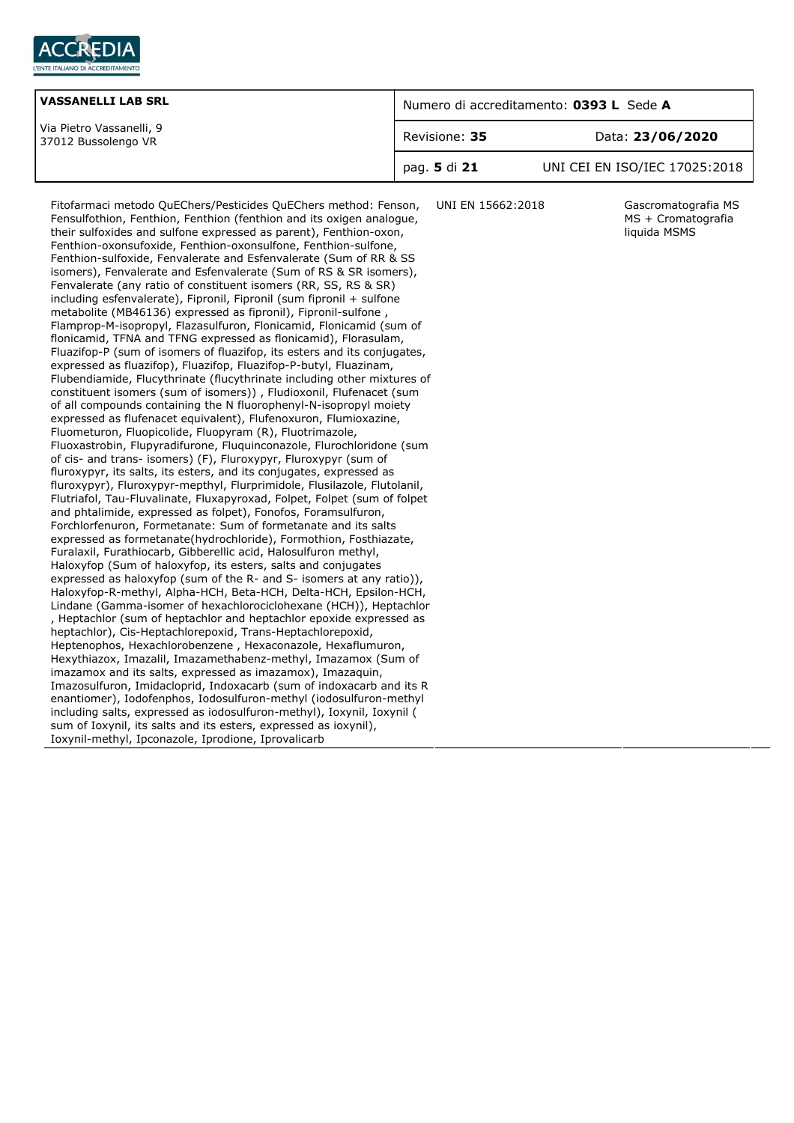

| <b>VASSANELLI LAB SRL</b>                       | Numero di accreditamento: 0393 L Sede A |                               |
|-------------------------------------------------|-----------------------------------------|-------------------------------|
| Via Pietro Vassanelli, 9<br>37012 Bussolengo VR | Revisione: 35                           | Data: 23/06/2020              |
|                                                 | pag. 5 di 21                            | UNI CEI EN ISO/IEC 17025:2018 |

Fitofarmaci metodo QuEChers/Pesticides QuEChers method: Fenson, Fensulfothion, Fenthion, Fenthion (fenthion and its oxigen analogue, their sulfoxides and sulfone expressed as parent), Fenthion-oxon, Fenthion-oxonsufoxide, Fenthion-oxonsulfone, Fenthion-sulfone, Fenthion-sulfoxide, Fenvalerate and Esfenvalerate (Sum of RR & SS isomers), Fenvalerate and Esfenvalerate (Sum of RS & SR isomers), Fenvalerate (any ratio of constituent isomers (RR, SS, RS & SR) including esfenvalerate), Fipronil, Fipronil (sum fipronil + sulfone metabolite (MB46136) expressed as fipronil), Fipronil-sulfone , Flamprop-M-isopropyl, Flazasulfuron, Flonicamid, Flonicamid (sum of flonicamid, TFNA and TFNG expressed as flonicamid), Florasulam, Fluazifop-P (sum of isomers of fluazifop, its esters and its conjugates, expressed as fluazifop), Fluazifop, Fluazifop-P-butyl, Fluazinam, Flubendiamide, Flucythrinate (flucythrinate including other mixtures of constituent isomers (sum of isomers)) , Fludioxonil, Flufenacet (sum of all compounds containing the N fluorophenyl-N-isopropyl moiety expressed as flufenacet equivalent), Flufenoxuron, Flumioxazine, Fluometuron, Fluopicolide, Fluopyram (R), Fluotrimazole, Fluoxastrobin, Flupyradifurone, Fluquinconazole, Flurochloridone (sum of cis- and trans- isomers) (F), Fluroxypyr, Fluroxypyr (sum of fluroxypyr, its salts, its esters, and its conjugates, expressed as fluroxypyr), Fluroxypyr-mepthyl, Flurprimidole, Flusilazole, Flutolanil, Flutriafol, Tau-Fluvalinate, Fluxapyroxad, Folpet, Folpet (sum of folpet and phtalimide, expressed as folpet), Fonofos, Foramsulfuron, Forchlorfenuron, Formetanate: Sum of formetanate and its salts expressed as formetanate(hydrochloride), Formothion, Fosthiazate, Furalaxil, Furathiocarb, Gibberellic acid, Halosulfuron methyl, Haloxyfop (Sum of haloxyfop, its esters, salts and conjugates expressed as haloxyfop (sum of the R- and S- isomers at any ratio)), Haloxyfop-R-methyl, Alpha-HCH, Beta-HCH, Delta-HCH, Epsilon-HCH, Lindane (Gamma-isomer of hexachlorociclohexane (HCH)), Heptachlor , Heptachlor (sum of heptachlor and heptachlor epoxide expressed as heptachlor), Cis-Heptachlorepoxid, Trans-Heptachlorepoxid, Heptenophos, Hexachlorobenzene , Hexaconazole, Hexaflumuron, Hexythiazox, Imazalil, Imazamethabenz-methyl, Imazamox (Sum of imazamox and its salts, expressed as imazamox), Imazaquin, Imazosulfuron, Imidacloprid, Indoxacarb (sum of indoxacarb and its R enantiomer), Iodofenphos, Iodosulfuron-methyl (iodosulfuron-methyl including salts, expressed as iodosulfuron-methyl), Ioxynil, Ioxynil ( sum of Ioxynil, its salts and its esters, expressed as ioxynil), Ioxynil-methyl, Ipconazole, Iprodione, Iprovalicarb

UNI EN 15662:2018 Gascromatografia MS MS + Cromatografia liquida MSMS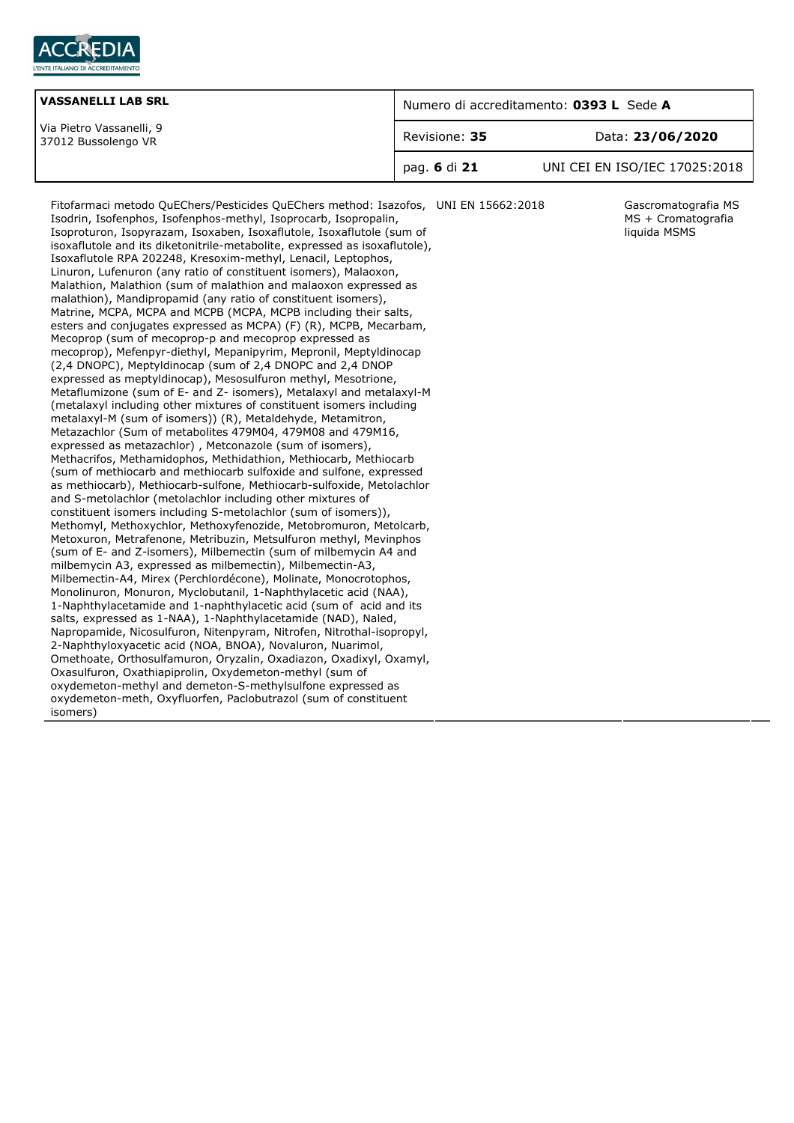

| <b>VASSANELLI LAB SRL</b>                       | Numero di accreditamento: 0393 L Sede A |                               |
|-------------------------------------------------|-----------------------------------------|-------------------------------|
| Via Pietro Vassanelli, 9<br>37012 Bussolengo VR | Revisione: 35                           | Data: 23/06/2020              |
|                                                 | pag. 6 di 21                            | UNI CEI EN ISO/IEC 17025:2018 |

Fitofarmaci metodo QuEChers/Pesticides QuEChers method: Isazofos, Isodrin, Isofenphos, Isofenphos-methyl, Isoprocarb, Isopropalin, Isoproturon, Isopyrazam, Isoxaben, Isoxaflutole, Isoxaflutole (sum of isoxaflutole and its diketonitrile-metabolite, expressed as isoxaflutole), Isoxaflutole RPA 202248, Kresoxim-methyl, Lenacil, Leptophos, Linuron, Lufenuron (any ratio of constituent isomers), Malaoxon, Malathion, Malathion (sum of malathion and malaoxon expressed as malathion), Mandipropamid (any ratio of constituent isomers), Matrine, MCPA, MCPA and MCPB (MCPA, MCPB including their salts, esters and conjugates expressed as MCPA) (F) (R), MCPB, Mecarbam, Mecoprop (sum of mecoprop-p and mecoprop expressed as mecoprop), Mefenpyr-diethyl, Mepanipyrim, Mepronil, Meptyldinocap (2,4 DNOPC), Meptyldinocap (sum of 2,4 DNOPC and 2,4 DNOP expressed as meptyldinocap), Mesosulfuron methyl, Mesotrione, Metaflumizone (sum of E- and Z- isomers), Metalaxyl and metalaxyl-M (metalaxyl including other mixtures of constituent isomers including metalaxyl-M (sum of isomers)) (R), Metaldehyde, Metamitron, Metazachlor (Sum of metabolites 479M04, 479M08 and 479M16, expressed as metazachlor) , Metconazole (sum of isomers), Methacrifos, Methamidophos, Methidathion, Methiocarb, Methiocarb (sum of methiocarb and methiocarb sulfoxide and sulfone, expressed as methiocarb), Methiocarb-sulfone, Methiocarb-sulfoxide, Metolachlor and S-metolachlor (metolachlor including other mixtures of constituent isomers including S-metolachlor (sum of isomers)), Methomyl, Methoxychlor, Methoxyfenozide, Metobromuron, Metolcarb, Metoxuron, Metrafenone, Metribuzin, Metsulfuron methyl, Mevinphos (sum of E- and Z-isomers), Milbemectin (sum of milbemycin A4 and milbemycin A3, expressed as milbemectin), Milbemectin-A3, Milbemectin-A4, Mirex (Perchlordécone), Molinate, Monocrotophos, Monolinuron, Monuron, Myclobutanil, 1-Naphthylacetic acid (NAA), 1-Naphthylacetamide and 1-naphthylacetic acid (sum of acid and its salts, expressed as 1-NAA), 1-Naphthylacetamide (NAD), Naled, Napropamide, Nicosulfuron, Nitenpyram, Nitrofen, Nitrothal-isopropyl, 2-Naphthyloxyacetic acid (NOA, BNOA), Novaluron, Nuarimol, Omethoate, Orthosulfamuron, Oryzalin, Oxadiazon, Oxadixyl, Oxamyl, Oxasulfuron, Oxathiapiprolin, Oxydemeton-methyl (sum of oxydemeton-methyl and demeton-S-methylsulfone expressed as oxydemeton-meth, Oxyfluorfen, Paclobutrazol (sum of constituent isomers)

Gascromatografia MS MS + Cromatografia liquida MSMS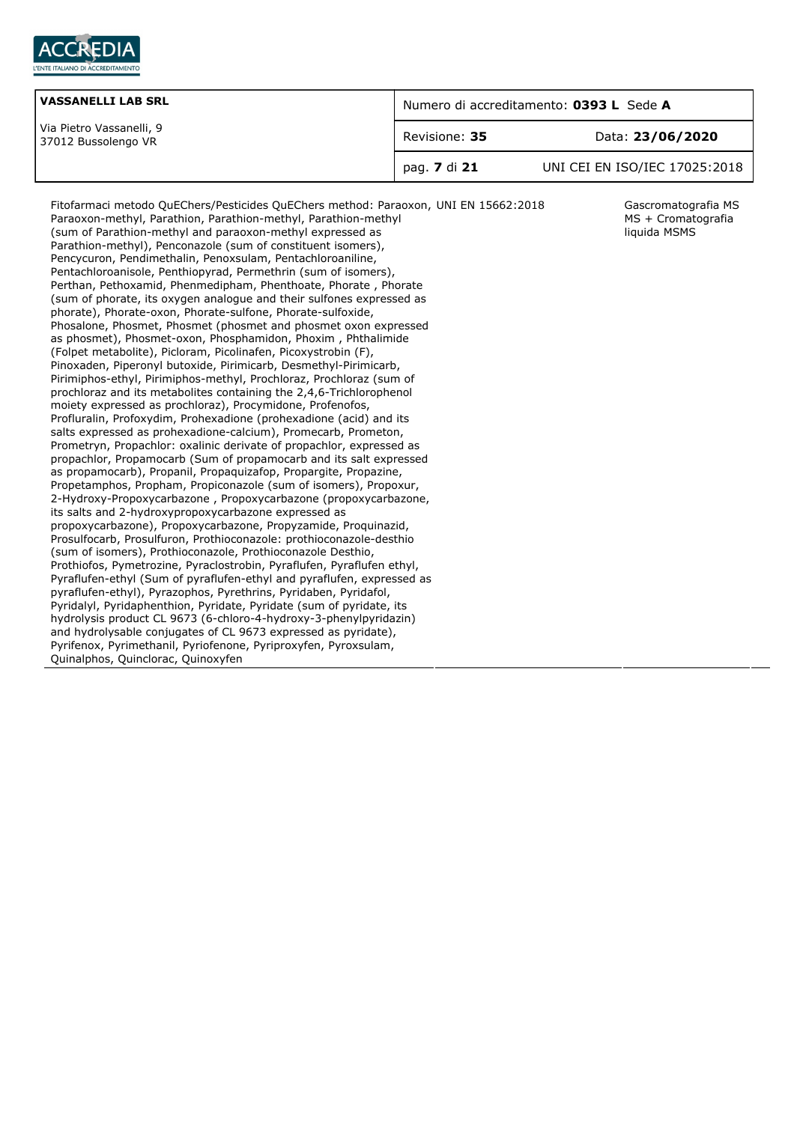

| <b>VASSANELLI LAB SRL</b>                       | Numero di accreditamento: 0393 L Sede A |                               |
|-------------------------------------------------|-----------------------------------------|-------------------------------|
| Via Pietro Vassanelli, 9<br>37012 Bussolengo VR | Data: 23/06/2020<br>Revisione: 35       |                               |
|                                                 | pag. <b>7</b> di 21                     | UNI CEI EN ISO/IEC 17025:2018 |

Gascromatografia MS MS + Cromatografia liquida MSMS

Fitofarmaci metodo QuEChers/Pesticides QuEChers method: Paraoxon, Paraoxon-methyl, Parathion, Parathion-methyl, Parathion-methyl (sum of Parathion-methyl and paraoxon-methyl expressed as Parathion-methyl), Penconazole (sum of constituent isomers), Pencycuron, Pendimethalin, Penoxsulam, Pentachloroaniline, Pentachloroanisole, Penthiopyrad, Permethrin (sum of isomers), Perthan, Pethoxamid, Phenmedipham, Phenthoate, Phorate , Phorate (sum of phorate, its oxygen analogue and their sulfones expressed as phorate), Phorate-oxon, Phorate-sulfone, Phorate-sulfoxide, Phosalone, Phosmet, Phosmet (phosmet and phosmet oxon expressed as phosmet), Phosmet-oxon, Phosphamidon, Phoxim , Phthalimide (Folpet metabolite), Picloram, Picolinafen, Picoxystrobin (F), Pinoxaden, Piperonyl butoxide, Pirimicarb, Desmethyl-Pirimicarb, Pirimiphos-ethyl, Pirimiphos-methyl, Prochloraz, Prochloraz (sum of prochloraz and its metabolites containing the 2,4,6-Trichlorophenol moiety expressed as prochloraz), Procymidone, Profenofos, Profluralin, Profoxydim, Prohexadione (prohexadione (acid) and its salts expressed as prohexadione-calcium), Promecarb, Prometon, Prometryn, Propachlor: oxalinic derivate of propachlor, expressed as propachlor, Propamocarb (Sum of propamocarb and its salt expressed as propamocarb), Propanil, Propaquizafop, Propargite, Propazine, Propetamphos, Propham, Propiconazole (sum of isomers), Propoxur, 2-Hydroxy-Propoxycarbazone , Propoxycarbazone (propoxycarbazone, its salts and 2-hydroxypropoxycarbazone expressed as propoxycarbazone), Propoxycarbazone, Propyzamide, Proquinazid, Prosulfocarb, Prosulfuron, Prothioconazole: prothioconazole-desthio (sum of isomers), Prothioconazole, Prothioconazole Desthio, Prothiofos, Pymetrozine, Pyraclostrobin, Pyraflufen, Pyraflufen ethyl, Pyraflufen-ethyl (Sum of pyraflufen-ethyl and pyraflufen, expressed as pyraflufen-ethyl), Pyrazophos, Pyrethrins, Pyridaben, Pyridafol, Pyridalyl, Pyridaphenthion, Pyridate, Pyridate (sum of pyridate, its hydrolysis product CL 9673 (6-chloro-4-hydroxy-3-phenylpyridazin) and hydrolysable conjugates of CL 9673 expressed as pyridate), Pyrifenox, Pyrimethanil, Pyriofenone, Pyriproxyfen, Pyroxsulam, Quinalphos, Quinclorac, Quinoxyfen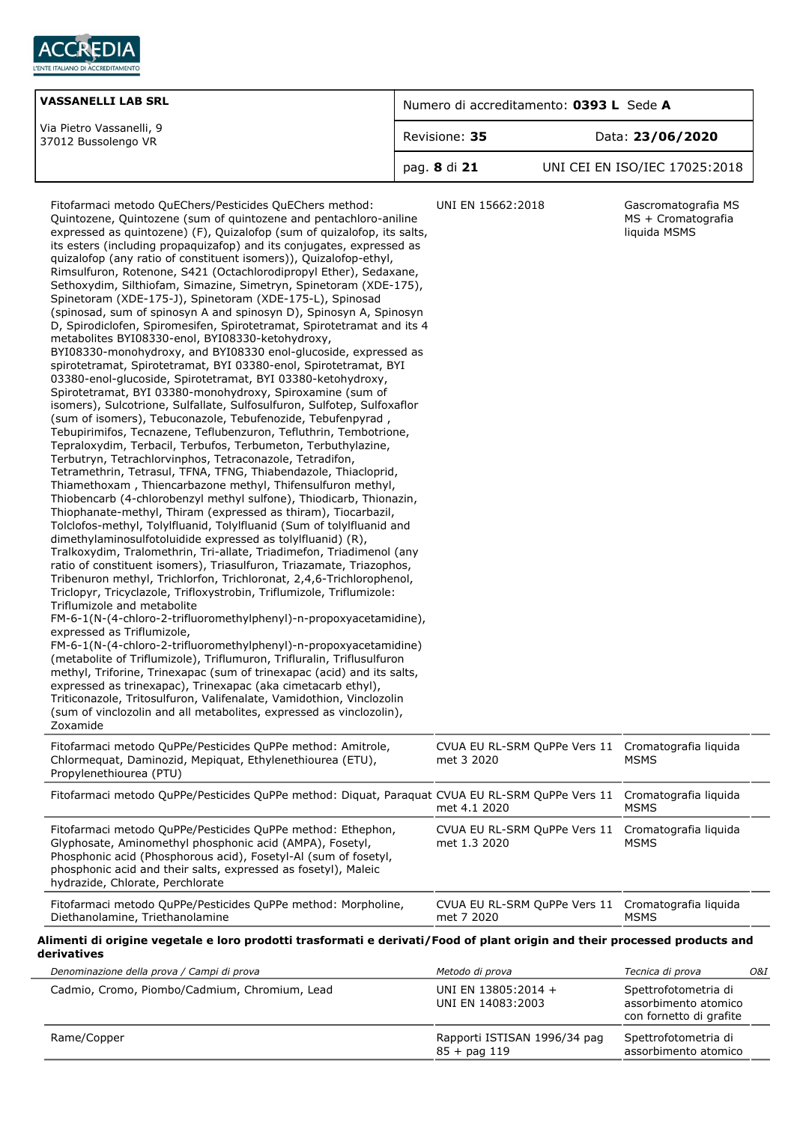

| <b>VASSANELLI LAB SRL</b>                       | Numero di accreditamento: 0393 L Sede A |                               |
|-------------------------------------------------|-----------------------------------------|-------------------------------|
| Via Pietro Vassanelli, 9<br>37012 Bussolengo VR | Data: 23/06/2020<br>Revisione: 35       |                               |
|                                                 | pag. 8 di 21                            | UNI CEI EN ISO/IEC 17025:2018 |
|                                                 |                                         |                               |

| Fitofarmaci metodo QuEChers/Pesticides QuEChers method:<br>Quintozene, Quintozene (sum of quintozene and pentachloro-aniline<br>expressed as quintozene) (F), Quizalofop (sum of quizalofop, its salts,<br>its esters (including propaquizafop) and its conjugates, expressed as<br>quizalofop (any ratio of constituent isomers)), Quizalofop-ethyl,<br>Rimsulfuron, Rotenone, S421 (Octachlorodipropyl Ether), Sedaxane,<br>Sethoxydim, Silthiofam, Simazine, Simetryn, Spinetoram (XDE-175),<br>Spinetoram (XDE-175-J), Spinetoram (XDE-175-L), Spinosad<br>(spinosad, sum of spinosyn A and spinosyn D), Spinosyn A, Spinosyn<br>D, Spirodiclofen, Spiromesifen, Spirotetramat, Spirotetramat and its 4<br>metabolites BYI08330-enol, BYI08330-ketohydroxy,<br>BYI08330-monohydroxy, and BYI08330 enol-glucoside, expressed as<br>spirotetramat, Spirotetramat, BYI 03380-enol, Spirotetramat, BYI<br>03380-enol-glucoside, Spirotetramat, BYI 03380-ketohydroxy,<br>Spirotetramat, BYI 03380-monohydroxy, Spiroxamine (sum of<br>isomers), Sulcotrione, Sulfallate, Sulfosulfuron, Sulfotep, Sulfoxaflor<br>(sum of isomers), Tebuconazole, Tebufenozide, Tebufenpyrad,<br>Tebupirimifos, Tecnazene, Teflubenzuron, Tefluthrin, Tembotrione,<br>Tepraloxydim, Terbacil, Terbufos, Terbumeton, Terbuthylazine,<br>Terbutryn, Tetrachlorvinphos, Tetraconazole, Tetradifon,<br>Tetramethrin, Tetrasul, TFNA, TFNG, Thiabendazole, Thiacloprid,<br>Thiamethoxam, Thiencarbazone methyl, Thifensulfuron methyl,<br>Thiobencarb (4-chlorobenzyl methyl sulfone), Thiodicarb, Thionazin,<br>Thiophanate-methyl, Thiram (expressed as thiram), Tiocarbazil,<br>Tolclofos-methyl, Tolylfluanid, Tolylfluanid (Sum of tolylfluanid and<br>dimethylaminosulfotoluidide expressed as tolylfluanid) (R),<br>Tralkoxydim, Tralomethrin, Tri-allate, Triadimefon, Triadimenol (any<br>ratio of constituent isomers), Triasulfuron, Triazamate, Triazophos,<br>Tribenuron methyl, Trichlorfon, Trichloronat, 2,4,6-Trichlorophenol,<br>Triclopyr, Tricyclazole, Trifloxystrobin, Triflumizole, Triflumizole:<br>Triflumizole and metabolite<br>FM-6-1(N-(4-chloro-2-trifluoromethylphenyl)-n-propoxyacetamidine),<br>expressed as Triflumizole,<br>FM-6-1(N-(4-chloro-2-trifluoromethylphenyl)-n-propoxyacetamidine)<br>(metabolite of Triflumizole), Triflumuron, Trifluralin, Triflusulfuron<br>methyl, Triforine, Trinexapac (sum of trinexapac (acid) and its salts,<br>expressed as trinexapac), Trinexapac (aka cimetacarb ethyl),<br>Triticonazole, Tritosulfuron, Valifenalate, Vamidothion, Vinclozolin<br>(sum of vinclozolin and all metabolites, expressed as vinclozolin),<br>Zoxamide | UNI EN 15662:2018                                                | Gascromatografia MS<br>MS + Cromatografia<br>liquida MSMS               |
|-------------------------------------------------------------------------------------------------------------------------------------------------------------------------------------------------------------------------------------------------------------------------------------------------------------------------------------------------------------------------------------------------------------------------------------------------------------------------------------------------------------------------------------------------------------------------------------------------------------------------------------------------------------------------------------------------------------------------------------------------------------------------------------------------------------------------------------------------------------------------------------------------------------------------------------------------------------------------------------------------------------------------------------------------------------------------------------------------------------------------------------------------------------------------------------------------------------------------------------------------------------------------------------------------------------------------------------------------------------------------------------------------------------------------------------------------------------------------------------------------------------------------------------------------------------------------------------------------------------------------------------------------------------------------------------------------------------------------------------------------------------------------------------------------------------------------------------------------------------------------------------------------------------------------------------------------------------------------------------------------------------------------------------------------------------------------------------------------------------------------------------------------------------------------------------------------------------------------------------------------------------------------------------------------------------------------------------------------------------------------------------------------------------------------------------------------------------------------------------------------------------------------------------------------------------------------------------------------------------------------------------------------------------------------------------------|------------------------------------------------------------------|-------------------------------------------------------------------------|
| Fitofarmaci metodo QuPPe/Pesticides QuPPe method: Amitrole,<br>Chlormequat, Daminozid, Mepiquat, Ethylenethiourea (ETU),<br>Propylenethiourea (PTU)                                                                                                                                                                                                                                                                                                                                                                                                                                                                                                                                                                                                                                                                                                                                                                                                                                                                                                                                                                                                                                                                                                                                                                                                                                                                                                                                                                                                                                                                                                                                                                                                                                                                                                                                                                                                                                                                                                                                                                                                                                                                                                                                                                                                                                                                                                                                                                                                                                                                                                                                       | CVUA EU RL-SRM QuPPe Vers 11 Cromatografia liquida<br>met 3 2020 | <b>MSMS</b>                                                             |
| Fitofarmaci metodo QuPPe/Pesticides QuPPe method: Diquat, Paraquat CVUA EU RL-SRM QuPPe Vers 11 Cromatografia liquida                                                                                                                                                                                                                                                                                                                                                                                                                                                                                                                                                                                                                                                                                                                                                                                                                                                                                                                                                                                                                                                                                                                                                                                                                                                                                                                                                                                                                                                                                                                                                                                                                                                                                                                                                                                                                                                                                                                                                                                                                                                                                                                                                                                                                                                                                                                                                                                                                                                                                                                                                                     | met 4.1 2020                                                     | <b>MSMS</b>                                                             |
| Fitofarmaci metodo QuPPe/Pesticides QuPPe method: Ethephon,<br>Glyphosate, Aminomethyl phosphonic acid (AMPA), Fosetyl,<br>Phosphonic acid (Phosphorous acid), Fosetyl-Al (sum of fosetyl,<br>phosphonic acid and their salts, expressed as fosetyl), Maleic<br>hydrazide, Chlorate, Perchlorate                                                                                                                                                                                                                                                                                                                                                                                                                                                                                                                                                                                                                                                                                                                                                                                                                                                                                                                                                                                                                                                                                                                                                                                                                                                                                                                                                                                                                                                                                                                                                                                                                                                                                                                                                                                                                                                                                                                                                                                                                                                                                                                                                                                                                                                                                                                                                                                          | CVUA EU RL-SRM QuPPe Vers 11<br>met 1.3 2020                     | Cromatografia liquida<br><b>MSMS</b>                                    |
| Fitofarmaci metodo QuPPe/Pesticides QuPPe method: Morpholine,<br>Diethanolamine, Triethanolamine                                                                                                                                                                                                                                                                                                                                                                                                                                                                                                                                                                                                                                                                                                                                                                                                                                                                                                                                                                                                                                                                                                                                                                                                                                                                                                                                                                                                                                                                                                                                                                                                                                                                                                                                                                                                                                                                                                                                                                                                                                                                                                                                                                                                                                                                                                                                                                                                                                                                                                                                                                                          | CVUA EU RL-SRM QuPPe Vers 11 Cromatografia liquida<br>met 7 2020 | <b>MSMS</b>                                                             |
| Alimenti di origine vegetale e loro prodotti trasformati e derivati/Food of plant origin and their processed products and<br>derivatives                                                                                                                                                                                                                                                                                                                                                                                                                                                                                                                                                                                                                                                                                                                                                                                                                                                                                                                                                                                                                                                                                                                                                                                                                                                                                                                                                                                                                                                                                                                                                                                                                                                                                                                                                                                                                                                                                                                                                                                                                                                                                                                                                                                                                                                                                                                                                                                                                                                                                                                                                  |                                                                  |                                                                         |
| Denominazione della prova / Campi di prova                                                                                                                                                                                                                                                                                                                                                                                                                                                                                                                                                                                                                                                                                                                                                                                                                                                                                                                                                                                                                                                                                                                                                                                                                                                                                                                                                                                                                                                                                                                                                                                                                                                                                                                                                                                                                                                                                                                                                                                                                                                                                                                                                                                                                                                                                                                                                                                                                                                                                                                                                                                                                                                | Metodo di prova                                                  | Tecnica di prova<br>O&I                                                 |
| Cadmio, Cromo, Piombo/Cadmium, Chromium, Lead                                                                                                                                                                                                                                                                                                                                                                                                                                                                                                                                                                                                                                                                                                                                                                                                                                                                                                                                                                                                                                                                                                                                                                                                                                                                                                                                                                                                                                                                                                                                                                                                                                                                                                                                                                                                                                                                                                                                                                                                                                                                                                                                                                                                                                                                                                                                                                                                                                                                                                                                                                                                                                             | UNI EN 13805:2014 +<br>UNI EN 14083:2003                         | Spettrofotometria di<br>assorbimento atomico<br>con fornetto di grafite |

|             |                                                | con fornetto di grafite                      |
|-------------|------------------------------------------------|----------------------------------------------|
| Rame/Copper | Rapporti ISTISAN 1996/34 pag<br>$85 +$ pag 119 | Spettrofotometria di<br>assorbimento atomico |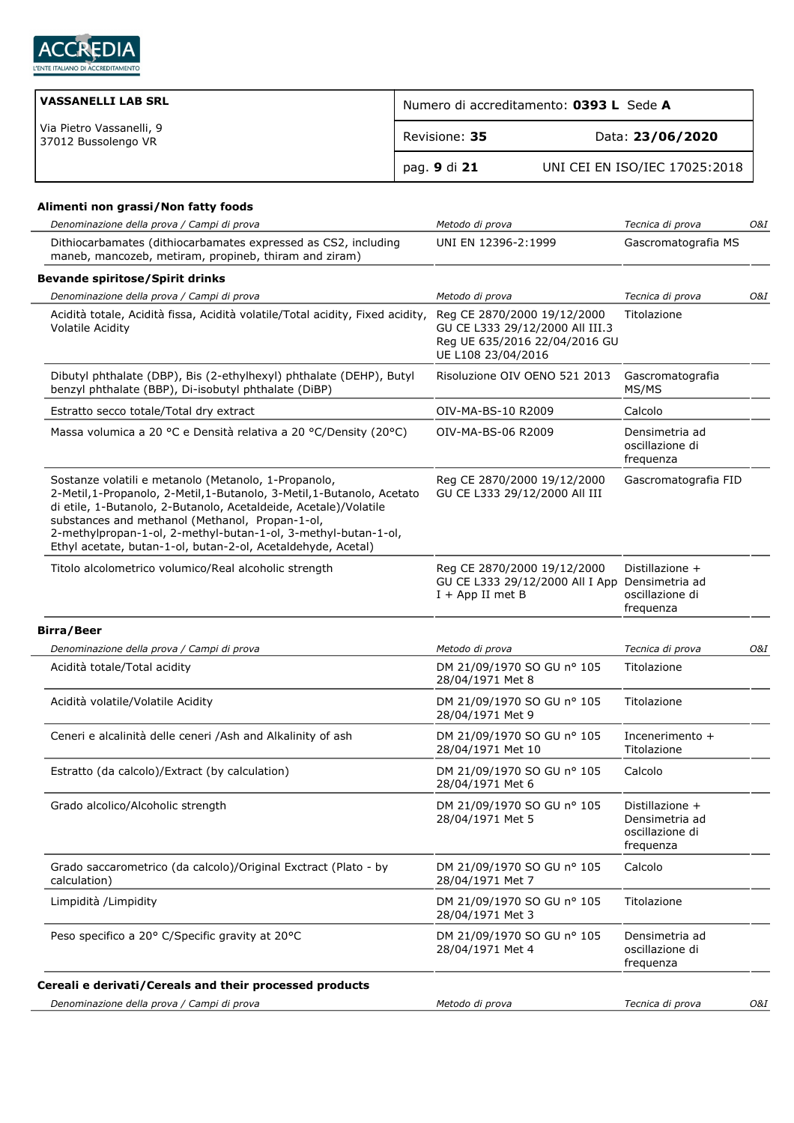

J.

| VASSANELLI LAB SRL                              | Numero di accreditamento: 0393 L Sede A |                               |  |
|-------------------------------------------------|-----------------------------------------|-------------------------------|--|
| Via Pietro Vassanelli, 9<br>37012 Bussolengo VR | Revisione: 35                           | Data: 23/06/2020              |  |
|                                                 | pag. 9 di 21                            | UNI CEI EN ISO/IEC 17025:2018 |  |

## **Alimenti non grassi/Non fatty foods**

| Denominazione della prova / Campi di prova                                                                                                                                                                                                                                                                                                                                               | Metodo di prova                                                                                                       | Tecnica di prova                                                  | O&I |
|------------------------------------------------------------------------------------------------------------------------------------------------------------------------------------------------------------------------------------------------------------------------------------------------------------------------------------------------------------------------------------------|-----------------------------------------------------------------------------------------------------------------------|-------------------------------------------------------------------|-----|
| Dithiocarbamates (dithiocarbamates expressed as CS2, including<br>maneb, mancozeb, metiram, propineb, thiram and ziram)                                                                                                                                                                                                                                                                  | UNI EN 12396-2:1999                                                                                                   | Gascromatografia MS                                               |     |
| <b>Bevande spiritose/Spirit drinks</b>                                                                                                                                                                                                                                                                                                                                                   |                                                                                                                       |                                                                   |     |
| Denominazione della prova / Campi di prova                                                                                                                                                                                                                                                                                                                                               | Metodo di prova                                                                                                       | Tecnica di prova                                                  | O&I |
| Acidità totale, Acidità fissa, Acidità volatile/Total acidity, Fixed acidity,<br><b>Volatile Acidity</b>                                                                                                                                                                                                                                                                                 | Reg CE 2870/2000 19/12/2000<br>GU CE L333 29/12/2000 All III.3<br>Reg UE 635/2016 22/04/2016 GU<br>UE L108 23/04/2016 | Titolazione                                                       |     |
| Dibutyl phthalate (DBP), Bis (2-ethylhexyl) phthalate (DEHP), Butyl<br>benzyl phthalate (BBP), Di-isobutyl phthalate (DiBP)                                                                                                                                                                                                                                                              | Risoluzione OIV OENO 521 2013                                                                                         | Gascromatografia<br>MS/MS                                         |     |
| Estratto secco totale/Total dry extract                                                                                                                                                                                                                                                                                                                                                  | OIV-MA-BS-10 R2009                                                                                                    | Calcolo                                                           |     |
| Massa volumica a 20 °C e Densità relativa a 20 °C/Density (20°C)                                                                                                                                                                                                                                                                                                                         | OIV-MA-BS-06 R2009                                                                                                    | Densimetria ad<br>oscillazione di<br>frequenza                    |     |
| Sostanze volatili e metanolo (Metanolo, 1-Propanolo,<br>2-Metil, 1-Propanolo, 2-Metil, 1-Butanolo, 3-Metil, 1-Butanolo, Acetato<br>di etile, 1-Butanolo, 2-Butanolo, Acetaldeide, Acetale)/Volatile<br>substances and methanol (Methanol, Propan-1-ol,<br>2-methylpropan-1-ol, 2-methyl-butan-1-ol, 3-methyl-butan-1-ol,<br>Ethyl acetate, butan-1-ol, butan-2-ol, Acetaldehyde, Acetal) | Reg CE 2870/2000 19/12/2000<br>GU CE L333 29/12/2000 All III                                                          | Gascromatografia FID                                              |     |
| Titolo alcolometrico volumico/Real alcoholic strength                                                                                                                                                                                                                                                                                                                                    | Reg CE 2870/2000 19/12/2000<br>GU CE L333 29/12/2000 All I App Densimetria ad<br>$I + App II$ met B                   | Distillazione +<br>oscillazione di<br>frequenza                   |     |
| <b>Birra/Beer</b>                                                                                                                                                                                                                                                                                                                                                                        |                                                                                                                       |                                                                   |     |
| Denominazione della prova / Campi di prova                                                                                                                                                                                                                                                                                                                                               | Metodo di prova                                                                                                       | Tecnica di prova                                                  | O&I |
| Acidità totale/Total acidity                                                                                                                                                                                                                                                                                                                                                             | DM 21/09/1970 SO GU nº 105<br>28/04/1971 Met 8                                                                        | Titolazione                                                       |     |
| Acidità volatile/Volatile Acidity                                                                                                                                                                                                                                                                                                                                                        | DM 21/09/1970 SO GU nº 105<br>28/04/1971 Met 9                                                                        | Titolazione                                                       |     |
| Ceneri e alcalinità delle ceneri /Ash and Alkalinity of ash                                                                                                                                                                                                                                                                                                                              | DM 21/09/1970 SO GU nº 105<br>28/04/1971 Met 10                                                                       | Incenerimento +<br>Titolazione                                    |     |
| Estratto (da calcolo)/Extract (by calculation)                                                                                                                                                                                                                                                                                                                                           | DM 21/09/1970 SO GU nº 105<br>28/04/1971 Met 6                                                                        | Calcolo                                                           |     |
| Grado alcolico/Alcoholic strength                                                                                                                                                                                                                                                                                                                                                        | DM 21/09/1970 SO GU nº 105<br>28/04/1971 Met 5                                                                        | Distillazione +<br>Densimetria ad<br>oscillazione di<br>frequenza |     |
| Grado saccarometrico (da calcolo)/Original Exctract (Plato - by<br>calculation)                                                                                                                                                                                                                                                                                                          | DM 21/09/1970 SO GU nº 105<br>28/04/1971 Met 7                                                                        | Calcolo                                                           |     |
| Limpidità /Limpidity                                                                                                                                                                                                                                                                                                                                                                     | DM 21/09/1970 SO GU nº 105<br>28/04/1971 Met 3                                                                        | Titolazione                                                       |     |
| Peso specifico a 20° C/Specific gravity at 20°C                                                                                                                                                                                                                                                                                                                                          | DM 21/09/1970 SO GU nº 105<br>28/04/1971 Met 4                                                                        | Densimetria ad<br>oscillazione di<br>frequenza                    |     |
| Cereali e derivati/Cereals and their processed products                                                                                                                                                                                                                                                                                                                                  |                                                                                                                       |                                                                   |     |
| Denominazione della prova / Campi di prova                                                                                                                                                                                                                                                                                                                                               | Metodo di prova                                                                                                       | Tecnica di prova                                                  | 0&I |
|                                                                                                                                                                                                                                                                                                                                                                                          |                                                                                                                       |                                                                   |     |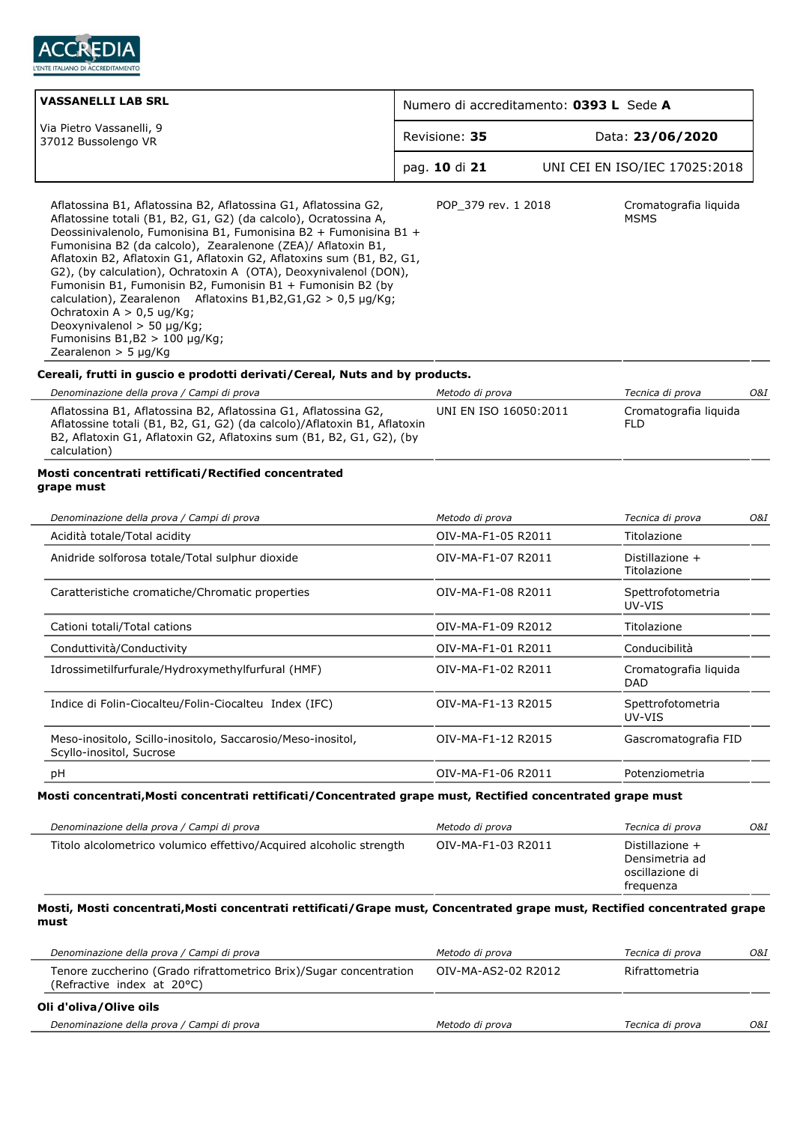

| <b>VASSANELLI LAB SRL</b>                                                                                                                                                                                                                                                                                                                                                                                                                                                                                                                                                                                                                                                                | Numero di accreditamento: 0393 L Sede A  |  |                                                         |     |
|------------------------------------------------------------------------------------------------------------------------------------------------------------------------------------------------------------------------------------------------------------------------------------------------------------------------------------------------------------------------------------------------------------------------------------------------------------------------------------------------------------------------------------------------------------------------------------------------------------------------------------------------------------------------------------------|------------------------------------------|--|---------------------------------------------------------|-----|
| Via Pietro Vassanelli, 9<br>37012 Bussolengo VR                                                                                                                                                                                                                                                                                                                                                                                                                                                                                                                                                                                                                                          | Revisione: 35                            |  | Data: 23/06/2020                                        |     |
|                                                                                                                                                                                                                                                                                                                                                                                                                                                                                                                                                                                                                                                                                          | pag. 10 di 21                            |  | UNI CEI EN ISO/IEC 17025:2018                           |     |
| Aflatossina B1, Aflatossina B2, Aflatossina G1, Aflatossina G2,<br>Aflatossine totali (B1, B2, G1, G2) (da calcolo), Ocratossina A,<br>Deossinivalenolo, Fumonisina B1, Fumonisina B2 + Fumonisina B1 +<br>Fumonisina B2 (da calcolo), Zearalenone (ZEA)/ Aflatoxin B1,<br>Aflatoxin B2, Aflatoxin G1, Aflatoxin G2, Aflatoxins sum (B1, B2, G1,<br>G2), (by calculation), Ochratoxin A (OTA), Deoxynivalenol (DON),<br>Fumonisin B1, Fumonisin B2, Fumonisin B1 + Fumonisin B2 (by<br>calculation), Zearalenon Aflatoxins B1, B2, G1, G2 > 0, 5 $\mu$ g/Kg;<br>Ochratoxin A > 0,5 ug/Kg;<br>Deoxynivalenol > 50 µg/Kg;<br>Fumonisins $B1,B2 > 100 \mu g/Kg$ ;<br>Zearalenon $>$ 5 µg/Kg | POP 379 rev. 1 2018                      |  | Cromatografia liquida<br><b>MSMS</b>                    |     |
| Cereali, frutti in guscio e prodotti derivati/Cereal, Nuts and by products.                                                                                                                                                                                                                                                                                                                                                                                                                                                                                                                                                                                                              |                                          |  |                                                         |     |
| Denominazione della prova / Campi di prova<br>Aflatossina B1, Aflatossina B2, Aflatossina G1, Aflatossina G2,<br>Aflatossine totali (B1, B2, G1, G2) (da calcolo)/Aflatoxin B1, Aflatoxin<br>B2, Aflatoxin G1, Aflatoxin G2, Aflatoxins sum (B1, B2, G1, G2), (by<br>calculation)                                                                                                                                                                                                                                                                                                                                                                                                        | Metodo di prova<br>UNI EN ISO 16050:2011 |  | Tecnica di prova<br>Cromatografia liquida<br><b>FLD</b> | O&I |
| Denominazione della prova / Campi di prova                                                                                                                                                                                                                                                                                                                                                                                                                                                                                                                                                                                                                                               | Metodo di prova                          |  | Tecnica di prova                                        | O&I |
| Acidità totale/Total acidity<br>Anidride solforosa totale/Total sulphur dioxide                                                                                                                                                                                                                                                                                                                                                                                                                                                                                                                                                                                                          | OIV-MA-F1-05 R2011<br>OIV-MA-F1-07 R2011 |  | Titolazione<br>Distillazione +<br>Titolazione           |     |
| Caratteristiche cromatiche/Chromatic properties                                                                                                                                                                                                                                                                                                                                                                                                                                                                                                                                                                                                                                          | OIV-MA-F1-08 R2011                       |  | Spettrofotometria<br>UV-VIS                             |     |
| Cationi totali/Total cations                                                                                                                                                                                                                                                                                                                                                                                                                                                                                                                                                                                                                                                             | OIV-MA-F1-09 R2012                       |  | Titolazione                                             |     |
| Conduttività/Conductivity                                                                                                                                                                                                                                                                                                                                                                                                                                                                                                                                                                                                                                                                | OIV-MA-F1-01 R2011                       |  | Conducibilità                                           |     |
| Idrossimetilfurfurale/Hydroxymethylfurfural (HMF)                                                                                                                                                                                                                                                                                                                                                                                                                                                                                                                                                                                                                                        | OIV-MA-F1-02 R2011                       |  | Cromatografia liguida<br>DAD                            |     |
| Indice di Folin-Ciocalteu/Folin-Ciocalteu Index (IFC)                                                                                                                                                                                                                                                                                                                                                                                                                                                                                                                                                                                                                                    | OIV-MA-F1-13 R2015                       |  | Spettrofotometria<br>UV-VIS                             |     |
| Meso-inositolo, Scillo-inositolo, Saccarosio/Meso-inositol,<br>Scyllo-inositol, Sucrose                                                                                                                                                                                                                                                                                                                                                                                                                                                                                                                                                                                                  | OIV-MA-F1-12 R2015                       |  | Gascromatografia FID                                    |     |
| рH                                                                                                                                                                                                                                                                                                                                                                                                                                                                                                                                                                                                                                                                                       | OIV-MA-F1-06 R2011                       |  | Potenziometria                                          |     |
| Mosti concentrati, Mosti concentrati rettificati/Concentrated grape must, Rectified concentrated grape must                                                                                                                                                                                                                                                                                                                                                                                                                                                                                                                                                                              |                                          |  |                                                         |     |
| Denominazione della prova / Campi di prova                                                                                                                                                                                                                                                                                                                                                                                                                                                                                                                                                                                                                                               | Metodo di prova                          |  | Tecnica di prova                                        | O&I |
| Titolo alcolometrico volumico effettivo/Acquired alcoholic strength                                                                                                                                                                                                                                                                                                                                                                                                                                                                                                                                                                                                                      | OIV-MA-F1-03 R2011                       |  | Distillazione +                                         |     |
|                                                                                                                                                                                                                                                                                                                                                                                                                                                                                                                                                                                                                                                                                          |                                          |  | Densimetria ad<br>oscillazione di<br>frequenza          |     |

# **Mosti, Mosti concentrati,Mosti concentrati rettificati/Grape must, Concentrated grape must, Rectified concentrated grape must**

| Denominazione della prova / Campi di prova                                                       | Metodo di prova     | Tecnica di prova | O&I |
|--------------------------------------------------------------------------------------------------|---------------------|------------------|-----|
| Tenore zuccherino (Grado rifrattometrico Brix)/Sugar concentration<br>(Refractive index at 20°C) | OIV-MA-AS2-02 R2012 | Rifrattometria   |     |
| Oli d'oliva/Olive oils                                                                           |                     |                  |     |
| Denominazione della prova / Campi di prova                                                       | Metodo di prova     | Tecnica di prova | O&I |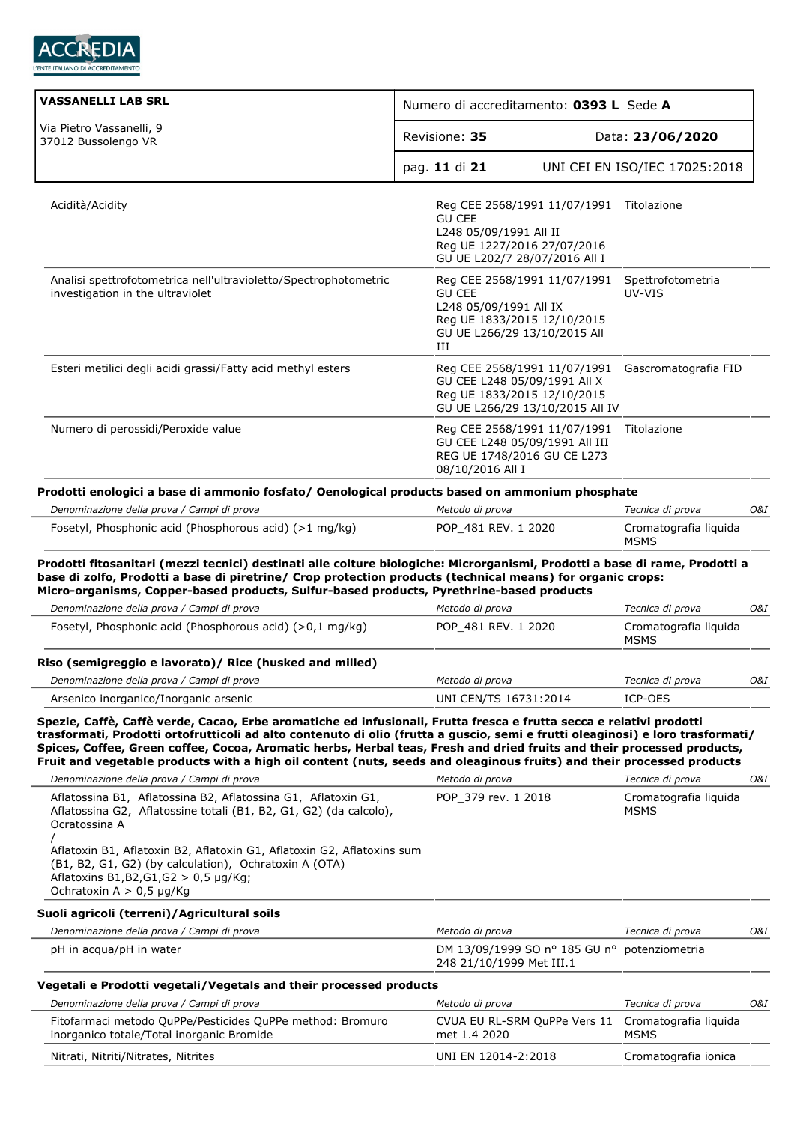

| <b>VASSANELLI LAB SRL</b>                                                                                                                                                                                                                                                                                                                                                                                                                                                                                | Numero di accreditamento: 0393 L Sede A                                                                                                     |                                      |     |
|----------------------------------------------------------------------------------------------------------------------------------------------------------------------------------------------------------------------------------------------------------------------------------------------------------------------------------------------------------------------------------------------------------------------------------------------------------------------------------------------------------|---------------------------------------------------------------------------------------------------------------------------------------------|--------------------------------------|-----|
| Via Pietro Vassanelli, 9<br>37012 Bussolengo VR                                                                                                                                                                                                                                                                                                                                                                                                                                                          | Revisione: 35                                                                                                                               | Data: 23/06/2020                     |     |
|                                                                                                                                                                                                                                                                                                                                                                                                                                                                                                          | pag. 11 di 21                                                                                                                               | UNI CEI EN ISO/IEC 17025:2018        |     |
| Acidità/Acidity                                                                                                                                                                                                                                                                                                                                                                                                                                                                                          | Reg CEE 2568/1991 11/07/1991<br><b>GU CEE</b><br>L248 05/09/1991 All II<br>Reg UE 1227/2016 27/07/2016<br>GU UE L202/7 28/07/2016 All I     | Titolazione                          |     |
| Analisi spettrofotometrica nell'ultravioletto/Spectrophotometric<br>investigation in the ultraviolet                                                                                                                                                                                                                                                                                                                                                                                                     | Reg CEE 2568/1991 11/07/1991<br><b>GU CEE</b><br>L248 05/09/1991 All IX<br>Reg UE 1833/2015 12/10/2015<br>GU UE L266/29 13/10/2015 All<br>Ш | Spettrofotometria<br>UV-VIS          |     |
| Esteri metilici degli acidi grassi/Fatty acid methyl esters                                                                                                                                                                                                                                                                                                                                                                                                                                              | Reg CEE 2568/1991 11/07/1991<br>GU CEE L248 05/09/1991 All X<br>Reg UE 1833/2015 12/10/2015<br>GU UE L266/29 13/10/2015 All IV              | Gascromatografia FID                 |     |
| Numero di perossidi/Peroxide value                                                                                                                                                                                                                                                                                                                                                                                                                                                                       | Reg CEE 2568/1991 11/07/1991<br>GU CEE L248 05/09/1991 All III<br>REG UE 1748/2016 GU CE L273<br>08/10/2016 All I                           | Titolazione                          |     |
| Prodotti enologici a base di ammonio fosfato/ Oenological products based on ammonium phosphate                                                                                                                                                                                                                                                                                                                                                                                                           |                                                                                                                                             |                                      |     |
| Denominazione della prova / Campi di prova                                                                                                                                                                                                                                                                                                                                                                                                                                                               | Metodo di prova                                                                                                                             | Tecnica di prova                     | O&I |
| Fosetyl, Phosphonic acid (Phosphorous acid) (>1 mg/kg)                                                                                                                                                                                                                                                                                                                                                                                                                                                   | POP_481 REV. 1 2020                                                                                                                         | Cromatografia liquida<br><b>MSMS</b> |     |
| Prodotti fitosanitari (mezzi tecnici) destinati alle colture biologiche: Microrganismi, Prodotti a base di rame, Prodotti a<br>base di zolfo, Prodotti a base di piretrine/ Crop protection products (technical means) for organic crops:<br>Micro-organisms, Copper-based products, Sulfur-based products, Pyrethrine-based products                                                                                                                                                                    |                                                                                                                                             |                                      |     |
| Denominazione della prova / Campi di prova                                                                                                                                                                                                                                                                                                                                                                                                                                                               | Metodo di prova                                                                                                                             | Tecnica di prova                     | 0&I |
| Fosetyl, Phosphonic acid (Phosphorous acid) (>0,1 mg/kg)                                                                                                                                                                                                                                                                                                                                                                                                                                                 | POP 481 REV. 1 2020                                                                                                                         | Cromatografia liquida<br><b>MSMS</b> |     |
| Riso (semigreggio e lavorato)/ Rice (husked and milled)                                                                                                                                                                                                                                                                                                                                                                                                                                                  |                                                                                                                                             |                                      |     |
| Denominazione della prova / Campi di prova                                                                                                                                                                                                                                                                                                                                                                                                                                                               | Metodo di prova                                                                                                                             | Tecnica di prova                     | O&I |
| Arsenico inorganico/Inorganic arsenic                                                                                                                                                                                                                                                                                                                                                                                                                                                                    | UNI CEN/TS 16731:2014                                                                                                                       | ICP-OES                              |     |
| Spezie, Caffè, Caffè verde, Cacao, Erbe aromatiche ed infusionali, Frutta fresca e frutta secca e relativi prodotti<br>trasformati, Prodotti ortofrutticoli ad alto contenuto di olio (frutta a guscio, semi e frutti oleaginosi) e loro trasformati/<br>Spices, Coffee, Green coffee, Cocoa, Aromatic herbs, Herbal teas, Fresh and dried fruits and their processed products,<br>Fruit and vegetable products with a high oil content (nuts, seeds and oleaginous fruits) and their processed products |                                                                                                                                             |                                      |     |
| Denominazione della prova / Campi di prova                                                                                                                                                                                                                                                                                                                                                                                                                                                               | Metodo di prova                                                                                                                             | Tecnica di prova                     | O&I |
| Aflatossina B1, Aflatossina B2, Aflatossina G1, Aflatoxin G1,<br>Aflatossina G2, Aflatossine totali (B1, B2, G1, G2) (da calcolo),<br>Ocratossina A<br>Aflatoxin B1, Aflatoxin B2, Aflatoxin G1, Aflatoxin G2, Aflatoxins sum<br>(B1, B2, G1, G2) (by calculation), Ochratoxin A (OTA)<br>Aflatoxins B1, B2, G1, G2 > 0, 5 µg/Kg;<br>Ochratoxin $A > 0.5$ µg/Kg                                                                                                                                          | POP 379 rev. 1 2018                                                                                                                         | Cromatografia liguida<br><b>MSMS</b> |     |
| Suoli agricoli (terreni)/Agricultural soils                                                                                                                                                                                                                                                                                                                                                                                                                                                              |                                                                                                                                             |                                      |     |
| Denominazione della prova / Campi di prova                                                                                                                                                                                                                                                                                                                                                                                                                                                               | Metodo di prova                                                                                                                             | Tecnica di prova                     | O&I |
| pH in acqua/pH in water                                                                                                                                                                                                                                                                                                                                                                                                                                                                                  | DM 13/09/1999 SO nº 185 GU nº potenziometria<br>248 21/10/1999 Met III.1                                                                    |                                      |     |
| Vegetali e Prodotti vegetali/Vegetals and their processed products                                                                                                                                                                                                                                                                                                                                                                                                                                       |                                                                                                                                             |                                      |     |
| Denominazione della prova / Campi di prova                                                                                                                                                                                                                                                                                                                                                                                                                                                               | Metodo di prova                                                                                                                             | Tecnica di prova                     | O&I |
| Fitofarmaci metodo QuPPe/Pesticides QuPPe method: Bromuro<br>inorganico totale/Total inorganic Bromide                                                                                                                                                                                                                                                                                                                                                                                                   | CVUA EU RL-SRM QuPPe Vers 11<br>met 1.4 2020                                                                                                | Cromatografia liguida<br><b>MSMS</b> |     |
| Nitrati, Nitriti/Nitrates, Nitrites                                                                                                                                                                                                                                                                                                                                                                                                                                                                      | UNI EN 12014-2:2018                                                                                                                         | Cromatografia ionica                 |     |
|                                                                                                                                                                                                                                                                                                                                                                                                                                                                                                          |                                                                                                                                             |                                      |     |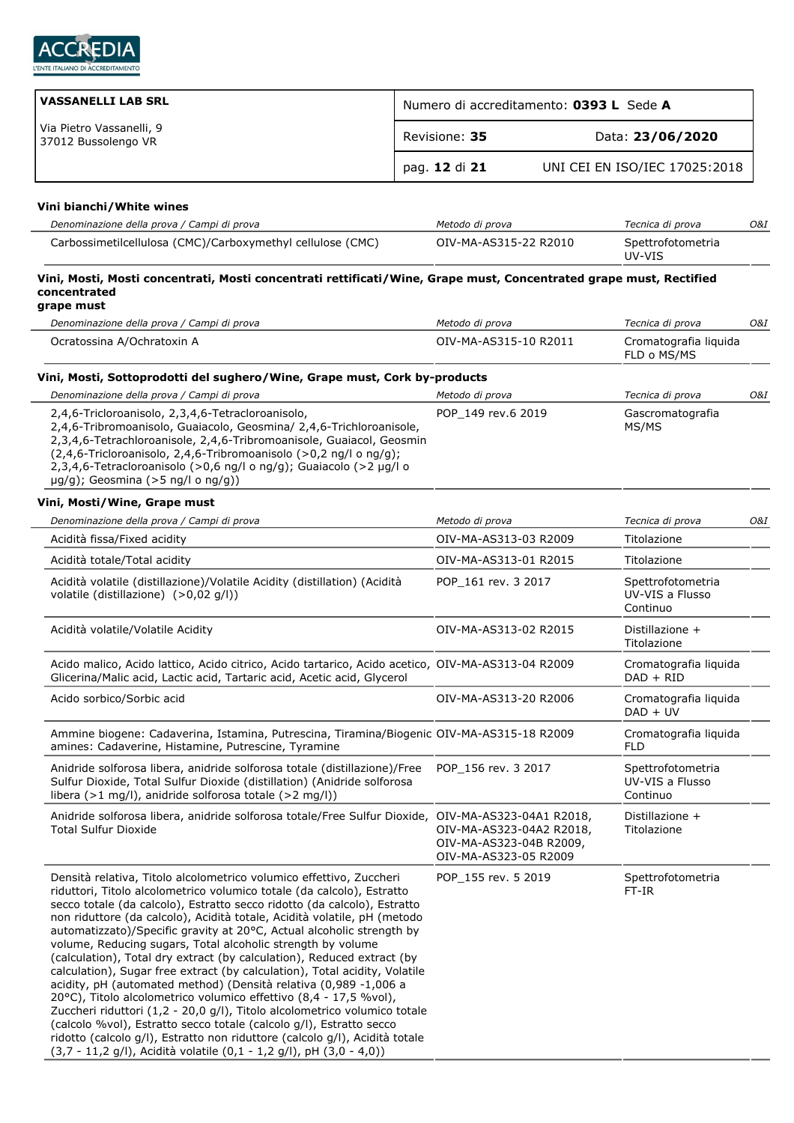

| VASSANELLI LAB SRL                              | Numero di accreditamento: 0393 L Sede A |                               |  |
|-------------------------------------------------|-----------------------------------------|-------------------------------|--|
| Via Pietro Vassanelli, 9<br>37012 Bussolengo VR | Revisione: 35                           | Data: 23/06/2020              |  |
|                                                 | pag. 12 di 21                           | UNI CEI EN ISO/IEC 17025:2018 |  |

## **Vini bianchi/White wines**

| Denominazione della prova / Campi di prova                 | Metodo di prova       | Tecnica di prova            | O&I |
|------------------------------------------------------------|-----------------------|-----------------------------|-----|
| Carbossimetilcellulosa (CMC)/Carboxymethyl cellulose (CMC) | OIV-MA-AS315-22 R2010 | Spettrofotometria<br>UV-VIS |     |

#### **Vini, Mosti, Mosti concentrati, Mosti concentrati rettificati/Wine, Grape must, Concentrated grape must, Rectified concentrated grape must**

| Denominazione della prova / Campi di prova                                                                                                                                                                                                                                                                                                                                                                                                                                                                                                                                                                                                                                                                                                                                                                                                                                                                                                                                                                                                               | Metodo di prova                                                              | Tecnica di prova                                 | O&I |
|----------------------------------------------------------------------------------------------------------------------------------------------------------------------------------------------------------------------------------------------------------------------------------------------------------------------------------------------------------------------------------------------------------------------------------------------------------------------------------------------------------------------------------------------------------------------------------------------------------------------------------------------------------------------------------------------------------------------------------------------------------------------------------------------------------------------------------------------------------------------------------------------------------------------------------------------------------------------------------------------------------------------------------------------------------|------------------------------------------------------------------------------|--------------------------------------------------|-----|
| Ocratossina A/Ochratoxin A                                                                                                                                                                                                                                                                                                                                                                                                                                                                                                                                                                                                                                                                                                                                                                                                                                                                                                                                                                                                                               | OIV-MA-AS315-10 R2011                                                        | Cromatografia liguida<br>FLD o MS/MS             |     |
| Vini, Mosti, Sottoprodotti del sughero/Wine, Grape must, Cork by-products                                                                                                                                                                                                                                                                                                                                                                                                                                                                                                                                                                                                                                                                                                                                                                                                                                                                                                                                                                                |                                                                              |                                                  |     |
| Denominazione della prova / Campi di prova                                                                                                                                                                                                                                                                                                                                                                                                                                                                                                                                                                                                                                                                                                                                                                                                                                                                                                                                                                                                               | Metodo di prova                                                              | Tecnica di prova                                 | O&I |
| 2,4,6-Tricloroanisolo, 2,3,4,6-Tetracloroanisolo,<br>2,4,6-Tribromoanisolo, Guaiacolo, Geosmina/ 2,4,6-Trichloroanisole,<br>2,3,4,6-Tetrachloroanisole, 2,4,6-Tribromoanisole, Guaiacol, Geosmin<br>(2,4,6-Tricloroanisolo, 2,4,6-Tribromoanisolo (>0,2 ng/l o ng/g);<br>2,3,4,6-Tetracloroanisolo (>0,6 ng/l o ng/g); Guaiacolo (>2 µg/l o<br>$\mu$ g/g); Geosmina (>5 ng/l o ng/g))                                                                                                                                                                                                                                                                                                                                                                                                                                                                                                                                                                                                                                                                    | POP_149 rev.6 2019                                                           | Gascromatografia<br>MS/MS                        |     |
| Vini, Mosti/Wine, Grape must                                                                                                                                                                                                                                                                                                                                                                                                                                                                                                                                                                                                                                                                                                                                                                                                                                                                                                                                                                                                                             |                                                                              |                                                  |     |
| Denominazione della prova / Campi di prova                                                                                                                                                                                                                                                                                                                                                                                                                                                                                                                                                                                                                                                                                                                                                                                                                                                                                                                                                                                                               | Metodo di prova                                                              | Tecnica di prova                                 | O&I |
| Acidità fissa/Fixed acidity                                                                                                                                                                                                                                                                                                                                                                                                                                                                                                                                                                                                                                                                                                                                                                                                                                                                                                                                                                                                                              | OIV-MA-AS313-03 R2009                                                        | Titolazione                                      |     |
| Acidità totale/Total acidity                                                                                                                                                                                                                                                                                                                                                                                                                                                                                                                                                                                                                                                                                                                                                                                                                                                                                                                                                                                                                             | OIV-MA-AS313-01 R2015                                                        | Titolazione                                      |     |
| Acidità volatile (distillazione)/Volatile Acidity (distillation) (Acidità<br>volatile (distillazione) (>0,02 q/l))                                                                                                                                                                                                                                                                                                                                                                                                                                                                                                                                                                                                                                                                                                                                                                                                                                                                                                                                       | POP 161 rev. 3 2017                                                          | Spettrofotometria<br>UV-VIS a Flusso<br>Continuo |     |
| Acidità volatile/Volatile Acidity                                                                                                                                                                                                                                                                                                                                                                                                                                                                                                                                                                                                                                                                                                                                                                                                                                                                                                                                                                                                                        | OIV-MA-AS313-02 R2015                                                        | Distillazione +<br>Titolazione                   |     |
| Acido malico, Acido lattico, Acido citrico, Acido tartarico, Acido acetico, OIV-MA-AS313-04 R2009<br>Glicerina/Malic acid, Lactic acid, Tartaric acid, Acetic acid, Glycerol                                                                                                                                                                                                                                                                                                                                                                                                                                                                                                                                                                                                                                                                                                                                                                                                                                                                             |                                                                              | Cromatografia liquida<br>$DAD + RID$             |     |
| Acido sorbico/Sorbic acid                                                                                                                                                                                                                                                                                                                                                                                                                                                                                                                                                                                                                                                                                                                                                                                                                                                                                                                                                                                                                                | OIV-MA-AS313-20 R2006                                                        | Cromatografia liquida<br>$DAD + UV$              |     |
| Ammine biogene: Cadaverina, Istamina, Putrescina, Tiramina/Biogenic OIV-MA-AS315-18 R2009<br>amines: Cadaverine, Histamine, Putrescine, Tyramine                                                                                                                                                                                                                                                                                                                                                                                                                                                                                                                                                                                                                                                                                                                                                                                                                                                                                                         |                                                                              | Cromatografia liquida<br><b>FLD</b>              |     |
| Anidride solforosa libera, anidride solforosa totale (distillazione)/Free<br>Sulfur Dioxide, Total Sulfur Dioxide (distillation) (Anidride solforosa<br>libera (>1 mg/l), anidride solforosa totale (>2 mg/l))                                                                                                                                                                                                                                                                                                                                                                                                                                                                                                                                                                                                                                                                                                                                                                                                                                           | POP_156 rev. 3 2017                                                          | Spettrofotometria<br>UV-VIS a Flusso<br>Continuo |     |
| Anidride solforosa libera, anidride solforosa totale/Free Sulfur Dioxide, OIV-MA-AS323-04A1 R2018,<br><b>Total Sulfur Dioxide</b>                                                                                                                                                                                                                                                                                                                                                                                                                                                                                                                                                                                                                                                                                                                                                                                                                                                                                                                        | OIV-MA-AS323-04A2 R2018,<br>OIV-MA-AS323-04B R2009,<br>OIV-MA-AS323-05 R2009 | Distillazione +<br>Titolazione                   |     |
| Densità relativa, Titolo alcolometrico volumico effettivo, Zuccheri<br>riduttori, Titolo alcolometrico volumico totale (da calcolo), Estratto<br>secco totale (da calcolo), Estratto secco ridotto (da calcolo), Estratto<br>non riduttore (da calcolo), Acidità totale, Acidità volatile, pH (metodo<br>automatizzato)/Specific gravity at 20°C, Actual alcoholic strength by<br>volume, Reducing sugars, Total alcoholic strength by volume<br>(calculation), Total dry extract (by calculation), Reduced extract (by<br>calculation), Sugar free extract (by calculation), Total acidity, Volatile<br>acidity, pH (automated method) (Densità relativa (0,989 -1,006 a<br>20°C), Titolo alcolometrico volumico effettivo (8,4 - 17,5 %vol),<br>Zuccheri riduttori (1,2 - 20,0 g/l), Titolo alcolometrico volumico totale<br>(calcolo %vol), Estratto secco totale (calcolo q/l), Estratto secco<br>ridotto (calcolo g/l), Estratto non riduttore (calcolo g/l), Acidità totale<br>(3,7 - 11,2 g/l), Acidità volatile (0,1 - 1,2 g/l), pH (3,0 - 4,0)) | POP 155 rev. 5 2019                                                          | Spettrofotometria<br>FT-IR                       |     |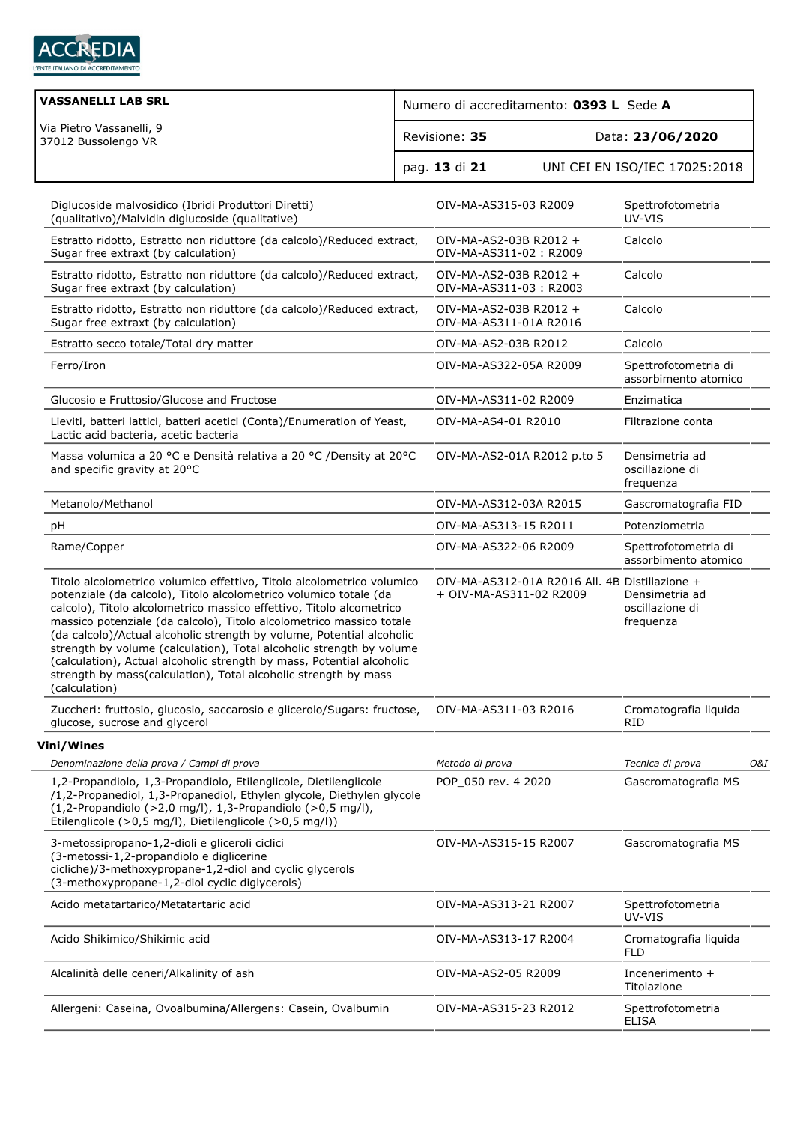

| <b>VASSANELLI LAB SRL</b>                                                                                                                                                                                                                                                                                                                                                                                                                                                                                                                                                                                 | Numero di accreditamento: 0393 L Sede A          |                                                |                                                |     |
|-----------------------------------------------------------------------------------------------------------------------------------------------------------------------------------------------------------------------------------------------------------------------------------------------------------------------------------------------------------------------------------------------------------------------------------------------------------------------------------------------------------------------------------------------------------------------------------------------------------|--------------------------------------------------|------------------------------------------------|------------------------------------------------|-----|
| Via Pietro Vassanelli, 9<br>37012 Bussolengo VR                                                                                                                                                                                                                                                                                                                                                                                                                                                                                                                                                           | Revisione: 35                                    |                                                | Data: 23/06/2020                               |     |
|                                                                                                                                                                                                                                                                                                                                                                                                                                                                                                                                                                                                           | pag. 13 di 21                                    |                                                | UNI CEI EN ISO/IEC 17025:2018                  |     |
| Diglucoside malvosidico (Ibridi Produttori Diretti)<br>(qualitativo)/Malvidin diglucoside (qualitative)                                                                                                                                                                                                                                                                                                                                                                                                                                                                                                   | OIV-MA-AS315-03 R2009                            |                                                | Spettrofotometria<br>UV-VIS                    |     |
| Estratto ridotto, Estratto non riduttore (da calcolo)/Reduced extract,<br>Sugar free extraxt (by calculation)                                                                                                                                                                                                                                                                                                                                                                                                                                                                                             | OIV-MA-AS2-03B R2012 +<br>OIV-MA-AS311-02: R2009 |                                                | Calcolo                                        |     |
| Estratto ridotto, Estratto non riduttore (da calcolo)/Reduced extract,<br>Sugar free extraxt (by calculation)                                                                                                                                                                                                                                                                                                                                                                                                                                                                                             | OIV-MA-AS2-03B R2012 +<br>OIV-MA-AS311-03: R2003 |                                                | Calcolo                                        |     |
| Estratto ridotto, Estratto non riduttore (da calcolo)/Reduced extract,<br>Sugar free extraxt (by calculation)                                                                                                                                                                                                                                                                                                                                                                                                                                                                                             | OIV-MA-AS2-03B R2012 +<br>OIV-MA-AS311-01A R2016 |                                                | Calcolo                                        |     |
| Estratto secco totale/Total dry matter                                                                                                                                                                                                                                                                                                                                                                                                                                                                                                                                                                    | OIV-MA-AS2-03B R2012                             |                                                | Calcolo                                        |     |
| Ferro/Iron                                                                                                                                                                                                                                                                                                                                                                                                                                                                                                                                                                                                | OIV-MA-AS322-05A R2009                           |                                                | Spettrofotometria di<br>assorbimento atomico   |     |
| Glucosio e Fruttosio/Glucose and Fructose                                                                                                                                                                                                                                                                                                                                                                                                                                                                                                                                                                 | OIV-MA-AS311-02 R2009                            |                                                | Enzimatica                                     |     |
| Lieviti, batteri lattici, batteri acetici (Conta)/Enumeration of Yeast,<br>Lactic acid bacteria, acetic bacteria                                                                                                                                                                                                                                                                                                                                                                                                                                                                                          | OIV-MA-AS4-01 R2010                              |                                                | Filtrazione conta                              |     |
| Massa volumica a 20 °C e Densità relativa a 20 °C /Density at 20°C<br>and specific gravity at 20°C                                                                                                                                                                                                                                                                                                                                                                                                                                                                                                        |                                                  | OIV-MA-AS2-01A R2012 p.to 5                    | Densimetria ad<br>oscillazione di<br>frequenza |     |
| Metanolo/Methanol                                                                                                                                                                                                                                                                                                                                                                                                                                                                                                                                                                                         | OIV-MA-AS312-03A R2015                           |                                                | Gascromatografia FID                           |     |
| pH                                                                                                                                                                                                                                                                                                                                                                                                                                                                                                                                                                                                        | OIV-MA-AS313-15 R2011                            |                                                | Potenziometria                                 |     |
| Rame/Copper                                                                                                                                                                                                                                                                                                                                                                                                                                                                                                                                                                                               | OIV-MA-AS322-06 R2009                            |                                                | Spettrofotometria di<br>assorbimento atomico   |     |
| Titolo alcolometrico volumico effettivo, Titolo alcolometrico volumico<br>potenziale (da calcolo), Titolo alcolometrico volumico totale (da<br>calcolo), Titolo alcolometrico massico effettivo, Titolo alcometrico<br>massico potenziale (da calcolo), Titolo alcolometrico massico totale<br>(da calcolo)/Actual alcoholic strength by volume, Potential alcoholic<br>strength by volume (calculation), Total alcoholic strength by volume<br>(calculation), Actual alcoholic strength by mass, Potential alcoholic<br>strength by mass(calculation), Total alcoholic strength by mass<br>(calculation) | + OIV-MA-AS311-02 R2009                          | OIV-MA-AS312-01A R2016 All. 4B Distillazione + | Densimetria ad<br>oscillazione di<br>frequenza |     |
| Zuccheri: fruttosio, glucosio, saccarosio e glicerolo/Sugars: fructose,<br>glucose, sucrose and glycerol                                                                                                                                                                                                                                                                                                                                                                                                                                                                                                  | OIV-MA-AS311-03 R2016                            |                                                | Cromatografia liquida<br><b>RID</b>            |     |
| Vini/Wines                                                                                                                                                                                                                                                                                                                                                                                                                                                                                                                                                                                                |                                                  |                                                |                                                |     |
| Denominazione della prova / Campi di prova                                                                                                                                                                                                                                                                                                                                                                                                                                                                                                                                                                | Metodo di prova                                  |                                                | Tecnica di prova                               | 0&1 |
| 1,2-Propandiolo, 1,3-Propandiolo, Etilenglicole, Dietilenglicole<br>/1,2-Propanediol, 1,3-Propanediol, Ethylen glycole, Diethylen glycole<br>$(1, 2$ -Propandiolo $(>2, 0$ mg/l), 1,3-Propandiolo $(>0, 5$ mg/l),<br>Etilenglicole (>0,5 mg/l), Dietilenglicole (>0,5 mg/l))                                                                                                                                                                                                                                                                                                                              | POP 050 rev. 4 2020                              |                                                | Gascromatografia MS                            |     |
| 3-metossipropano-1,2-dioli e gliceroli ciclici<br>(3-metossi-1,2-propandiolo e diglicerine<br>cicliche)/3-methoxypropane-1,2-diol and cyclic glycerols<br>(3-methoxypropane-1,2-diol cyclic diglycerols)                                                                                                                                                                                                                                                                                                                                                                                                  | OIV-MA-AS315-15 R2007                            |                                                | Gascromatografia MS                            |     |
| Acido metatartarico/Metatartaric acid                                                                                                                                                                                                                                                                                                                                                                                                                                                                                                                                                                     | OIV-MA-AS313-21 R2007                            |                                                | Spettrofotometria<br>UV-VIS                    |     |
| Acido Shikimico/Shikimic acid                                                                                                                                                                                                                                                                                                                                                                                                                                                                                                                                                                             | OIV-MA-AS313-17 R2004                            |                                                | Cromatografia liquida<br><b>FLD</b>            |     |
| Alcalinità delle ceneri/Alkalinity of ash                                                                                                                                                                                                                                                                                                                                                                                                                                                                                                                                                                 | OIV-MA-AS2-05 R2009                              |                                                | Incenerimento +<br>Titolazione                 |     |
| Allergeni: Caseina, Ovoalbumina/Allergens: Casein, Ovalbumin                                                                                                                                                                                                                                                                                                                                                                                                                                                                                                                                              | OIV-MA-AS315-23 R2012                            |                                                | Spettrofotometria<br><b>ELISA</b>              |     |
|                                                                                                                                                                                                                                                                                                                                                                                                                                                                                                                                                                                                           |                                                  |                                                |                                                |     |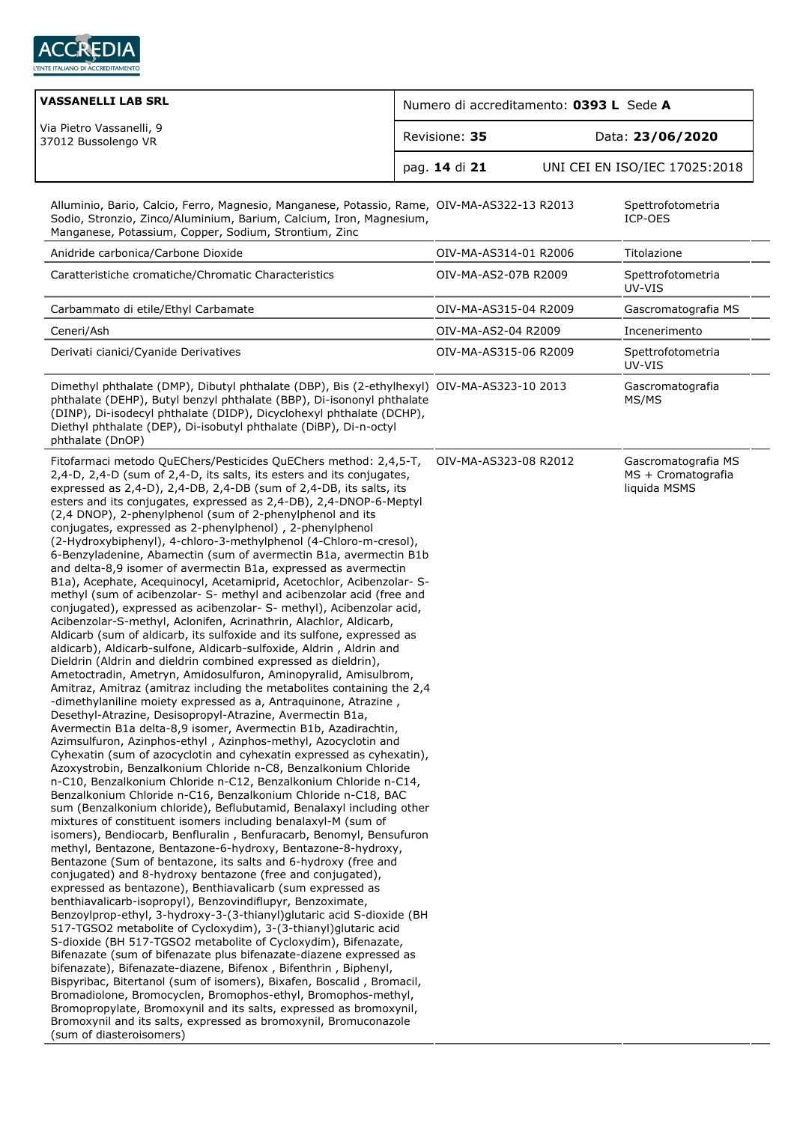

| <b>VASSANELLI LAB SRL</b>                                                                                                                                                                                                                                                                                                                                                                                                                                                                                                                                                                                                                                                                                                                                                                                                                                                                                                                                                                                                                                                                                                                                                                                                                                                                                                                                                                                                                                                                                                                                                                                                                                                                                                                                                                                                                                                                                                                                                                                                                                                                                                                                                                                                                                                                                                                                                                                                                                                                                                                                                                                                                                                                                                                                                                                                                                                                                                                                                                                                                                        | Numero di accreditamento: 0393 L Sede A |                       |  |                                                           |  |
|------------------------------------------------------------------------------------------------------------------------------------------------------------------------------------------------------------------------------------------------------------------------------------------------------------------------------------------------------------------------------------------------------------------------------------------------------------------------------------------------------------------------------------------------------------------------------------------------------------------------------------------------------------------------------------------------------------------------------------------------------------------------------------------------------------------------------------------------------------------------------------------------------------------------------------------------------------------------------------------------------------------------------------------------------------------------------------------------------------------------------------------------------------------------------------------------------------------------------------------------------------------------------------------------------------------------------------------------------------------------------------------------------------------------------------------------------------------------------------------------------------------------------------------------------------------------------------------------------------------------------------------------------------------------------------------------------------------------------------------------------------------------------------------------------------------------------------------------------------------------------------------------------------------------------------------------------------------------------------------------------------------------------------------------------------------------------------------------------------------------------------------------------------------------------------------------------------------------------------------------------------------------------------------------------------------------------------------------------------------------------------------------------------------------------------------------------------------------------------------------------------------------------------------------------------------------------------------------------------------------------------------------------------------------------------------------------------------------------------------------------------------------------------------------------------------------------------------------------------------------------------------------------------------------------------------------------------------------------------------------------------------------------------------------------------------|-----------------------------------------|-----------------------|--|-----------------------------------------------------------|--|
| Via Pietro Vassanelli, 9<br>37012 Bussolengo VR                                                                                                                                                                                                                                                                                                                                                                                                                                                                                                                                                                                                                                                                                                                                                                                                                                                                                                                                                                                                                                                                                                                                                                                                                                                                                                                                                                                                                                                                                                                                                                                                                                                                                                                                                                                                                                                                                                                                                                                                                                                                                                                                                                                                                                                                                                                                                                                                                                                                                                                                                                                                                                                                                                                                                                                                                                                                                                                                                                                                                  |                                         | Revisione: 35         |  | Data: 23/06/2020                                          |  |
|                                                                                                                                                                                                                                                                                                                                                                                                                                                                                                                                                                                                                                                                                                                                                                                                                                                                                                                                                                                                                                                                                                                                                                                                                                                                                                                                                                                                                                                                                                                                                                                                                                                                                                                                                                                                                                                                                                                                                                                                                                                                                                                                                                                                                                                                                                                                                                                                                                                                                                                                                                                                                                                                                                                                                                                                                                                                                                                                                                                                                                                                  |                                         | pag. 14 di 21         |  | UNI CEI EN ISO/IEC 17025:2018                             |  |
| Alluminio, Bario, Calcio, Ferro, Magnesio, Manganese, Potassio, Rame, OIV-MA-AS322-13 R2013<br>Sodio, Stronzio, Zinco/Aluminium, Barium, Calcium, Iron, Magnesium,<br>Manganese, Potassium, Copper, Sodium, Strontium, Zinc                                                                                                                                                                                                                                                                                                                                                                                                                                                                                                                                                                                                                                                                                                                                                                                                                                                                                                                                                                                                                                                                                                                                                                                                                                                                                                                                                                                                                                                                                                                                                                                                                                                                                                                                                                                                                                                                                                                                                                                                                                                                                                                                                                                                                                                                                                                                                                                                                                                                                                                                                                                                                                                                                                                                                                                                                                      |                                         |                       |  | Spettrofotometria<br>ICP-OES                              |  |
| Anidride carbonica/Carbone Dioxide                                                                                                                                                                                                                                                                                                                                                                                                                                                                                                                                                                                                                                                                                                                                                                                                                                                                                                                                                                                                                                                                                                                                                                                                                                                                                                                                                                                                                                                                                                                                                                                                                                                                                                                                                                                                                                                                                                                                                                                                                                                                                                                                                                                                                                                                                                                                                                                                                                                                                                                                                                                                                                                                                                                                                                                                                                                                                                                                                                                                                               |                                         | OIV-MA-AS314-01 R2006 |  | Titolazione                                               |  |
| Caratteristiche cromatiche/Chromatic Characteristics                                                                                                                                                                                                                                                                                                                                                                                                                                                                                                                                                                                                                                                                                                                                                                                                                                                                                                                                                                                                                                                                                                                                                                                                                                                                                                                                                                                                                                                                                                                                                                                                                                                                                                                                                                                                                                                                                                                                                                                                                                                                                                                                                                                                                                                                                                                                                                                                                                                                                                                                                                                                                                                                                                                                                                                                                                                                                                                                                                                                             |                                         | OIV-MA-AS2-07B R2009  |  | Spettrofotometria<br>UV-VIS                               |  |
| Carbammato di etile/Ethyl Carbamate                                                                                                                                                                                                                                                                                                                                                                                                                                                                                                                                                                                                                                                                                                                                                                                                                                                                                                                                                                                                                                                                                                                                                                                                                                                                                                                                                                                                                                                                                                                                                                                                                                                                                                                                                                                                                                                                                                                                                                                                                                                                                                                                                                                                                                                                                                                                                                                                                                                                                                                                                                                                                                                                                                                                                                                                                                                                                                                                                                                                                              |                                         | OIV-MA-AS315-04 R2009 |  | Gascromatografia MS                                       |  |
| Ceneri/Ash                                                                                                                                                                                                                                                                                                                                                                                                                                                                                                                                                                                                                                                                                                                                                                                                                                                                                                                                                                                                                                                                                                                                                                                                                                                                                                                                                                                                                                                                                                                                                                                                                                                                                                                                                                                                                                                                                                                                                                                                                                                                                                                                                                                                                                                                                                                                                                                                                                                                                                                                                                                                                                                                                                                                                                                                                                                                                                                                                                                                                                                       |                                         | OIV-MA-AS2-04 R2009   |  | Incenerimento                                             |  |
| Derivati cianici/Cyanide Derivatives                                                                                                                                                                                                                                                                                                                                                                                                                                                                                                                                                                                                                                                                                                                                                                                                                                                                                                                                                                                                                                                                                                                                                                                                                                                                                                                                                                                                                                                                                                                                                                                                                                                                                                                                                                                                                                                                                                                                                                                                                                                                                                                                                                                                                                                                                                                                                                                                                                                                                                                                                                                                                                                                                                                                                                                                                                                                                                                                                                                                                             |                                         | OIV-MA-AS315-06 R2009 |  | Spettrofotometria<br>UV-VIS                               |  |
| Dimethyl phthalate (DMP), Dibutyl phthalate (DBP), Bis (2-ethylhexyl) OIV-MA-AS323-10 2013<br>phthalate (DEHP), Butyl benzyl phthalate (BBP), Di-isononyl phthalate<br>(DINP), Di-isodecyl phthalate (DIDP), Dicyclohexyl phthalate (DCHP),<br>Diethyl phthalate (DEP), Di-isobutyl phthalate (DiBP), Di-n-octyl<br>phthalate (DnOP)                                                                                                                                                                                                                                                                                                                                                                                                                                                                                                                                                                                                                                                                                                                                                                                                                                                                                                                                                                                                                                                                                                                                                                                                                                                                                                                                                                                                                                                                                                                                                                                                                                                                                                                                                                                                                                                                                                                                                                                                                                                                                                                                                                                                                                                                                                                                                                                                                                                                                                                                                                                                                                                                                                                             |                                         |                       |  | Gascromatografia<br>MS/MS                                 |  |
| Fitofarmaci metodo QuEChers/Pesticides QuEChers method: 2,4,5-T,<br>2,4-D, 2,4-D (sum of 2,4-D, its salts, its esters and its conjugates,<br>expressed as 2,4-D), 2,4-DB, 2,4-DB (sum of 2,4-DB, its salts, its<br>esters and its conjugates, expressed as 2,4-DB), 2,4-DNOP-6-Meptyl<br>(2,4 DNOP), 2-phenylphenol (sum of 2-phenylphenol and its<br>conjugates, expressed as 2-phenylphenol), 2-phenylphenol<br>(2-Hydroxybiphenyl), 4-chloro-3-methylphenol (4-Chloro-m-cresol),<br>6-Benzyladenine, Abamectin (sum of avermectin B1a, avermectin B1b<br>and delta-8,9 isomer of avermectin B1a, expressed as avermectin<br>B1a), Acephate, Acequinocyl, Acetamiprid, Acetochlor, Acibenzolar- S-<br>methyl (sum of acibenzolar- S- methyl and acibenzolar acid (free and<br>conjugated), expressed as acibenzolar- S- methyl), Acibenzolar acid,<br>Acibenzolar-S-methyl, Aclonifen, Acrinathrin, Alachlor, Aldicarb,<br>Aldicarb (sum of aldicarb, its sulfoxide and its sulfone, expressed as<br>aldicarb), Aldicarb-sulfone, Aldicarb-sulfoxide, Aldrin, Aldrin and<br>Dieldrin (Aldrin and dieldrin combined expressed as dieldrin),<br>Ametoctradin, Ametryn, Amidosulfuron, Aminopyralid, Amisulbrom,<br>Amitraz, Amitraz (amitraz including the metabolites containing the 2,4<br>-dimethylaniline moiety expressed as a, Antraguinone, Atrazine,<br>Desethyl-Atrazine, Desisopropyl-Atrazine, Avermectin B1a,<br>Avermectin B1a delta-8,9 isomer, Avermectin B1b, Azadirachtin,<br>Azimsulfuron, Azinphos-ethyl, Azinphos-methyl, Azocyclotin and<br>Cyhexatin (sum of azocyclotin and cyhexatin expressed as cyhexatin),<br>Azoxystrobin, Benzalkonium Chloride n-C8, Benzalkonium Chloride<br>n-C10, Benzalkonium Chloride n-C12, Benzalkonium Chloride n-C14,<br>Benzalkonium Chloride n-C16, Benzalkonium Chloride n-C18, BAC<br>sum (Benzalkonium chloride), Beflubutamid, Benalaxyl including other<br>mixtures of constituent isomers including benalaxyl-M (sum of<br>isomers), Bendiocarb, Benfluralin, Benfuracarb, Benomyl, Bensufuron<br>methyl, Bentazone, Bentazone-6-hydroxy, Bentazone-8-hydroxy,<br>Bentazone (Sum of bentazone, its salts and 6-hydroxy (free and<br>conjugated) and 8-hydroxy bentazone (free and conjugated),<br>expressed as bentazone), Benthiavalicarb (sum expressed as<br>benthiavalicarb-isopropyl), Benzovindiflupyr, Benzoximate,<br>Benzoylprop-ethyl, 3-hydroxy-3-(3-thianyl)glutaric acid S-dioxide (BH<br>517-TGSO2 metabolite of Cycloxydim), 3-(3-thianyl)glutaric acid<br>S-dioxide (BH 517-TGSO2 metabolite of Cycloxydim), Bifenazate,<br>Bifenazate (sum of bifenazate plus bifenazate-diazene expressed as<br>bifenazate), Bifenazate-diazene, Bifenox, Bifenthrin, Biphenyl,<br>Bispyribac, Bitertanol (sum of isomers), Bixafen, Boscalid, Bromacil,<br>Bromadiolone, Bromocyclen, Bromophos-ethyl, Bromophos-methyl,<br>Bromopropylate, Bromoxynil and its salts, expressed as bromoxynil,<br>Bromoxynil and its salts, expressed as bromoxynil, Bromuconazole<br>(sum of diasteroisomers) |                                         | OIV-MA-AS323-08 R2012 |  | Gascromatografia MS<br>MS + Cromatografia<br>liquida MSMS |  |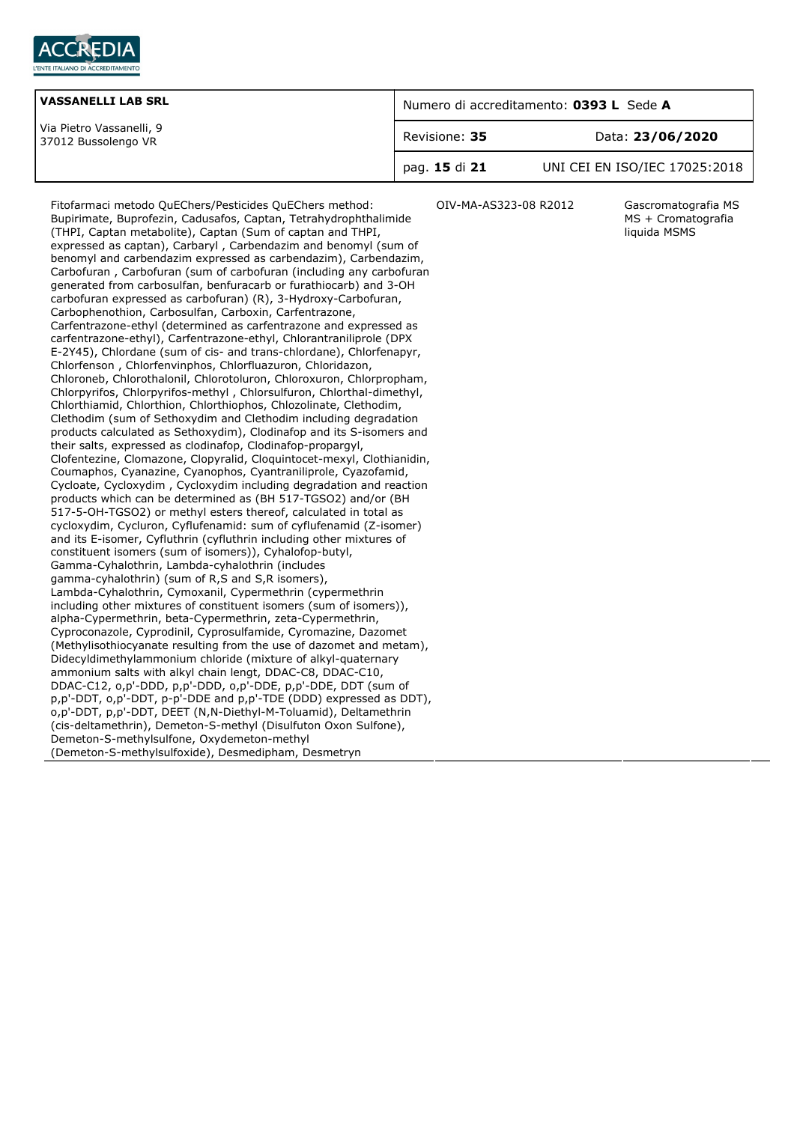

| <b>VASSANELLI LAB SRL</b>                       | Numero di accreditamento: 0393 L Sede A |                               |  |
|-------------------------------------------------|-----------------------------------------|-------------------------------|--|
| Via Pietro Vassanelli, 9<br>37012 Bussolengo VR | Revisione: 35                           | Data: 23/06/2020              |  |
|                                                 | pag. 15 di 21                           | UNI CEI EN ISO/IEC 17025:2018 |  |

Fitofarmaci metodo QuEChers/Pesticides QuEChers method: Bupirimate, Buprofezin, Cadusafos, Captan, Tetrahydrophthalimide (THPI, Captan metabolite), Captan (Sum of captan and THPI, expressed as captan), Carbaryl , Carbendazim and benomyl (sum of benomyl and carbendazim expressed as carbendazim), Carbendazim, Carbofuran , Carbofuran (sum of carbofuran (including any carbofuran generated from carbosulfan, benfuracarb or furathiocarb) and 3-OH carbofuran expressed as carbofuran) (R), 3-Hydroxy-Carbofuran, Carbophenothion, Carbosulfan, Carboxin, Carfentrazone, Carfentrazone-ethyl (determined as carfentrazone and expressed as carfentrazone-ethyl), Carfentrazone-ethyl, Chlorantraniliprole (DPX E-2Y45), Chlordane (sum of cis- and trans-chlordane), Chlorfenapyr, Chlorfenson , Chlorfenvinphos, Chlorfluazuron, Chloridazon, Chloroneb, Chlorothalonil, Chlorotoluron, Chloroxuron, Chlorpropham, Chlorpyrifos, Chlorpyrifos-methyl , Chlorsulfuron, Chlorthal-dimethyl, Chlorthiamid, Chlorthion, Chlorthiophos, Chlozolinate, Clethodim, Clethodim (sum of Sethoxydim and Clethodim including degradation products calculated as Sethoxydim), Clodinafop and its S-isomers and their salts, expressed as clodinafop, Clodinafop-propargyl, Clofentezine, Clomazone, Clopyralid, Cloquintocet-mexyl, Clothianidin, Coumaphos, Cyanazine, Cyanophos, Cyantraniliprole, Cyazofamid, Cycloate, Cycloxydim , Cycloxydim including degradation and reaction products which can be determined as (BH 517-TGSO2) and/or (BH 517-5-OH-TGSO2) or methyl esters thereof, calculated in total as cycloxydim, Cycluron, Cyflufenamid: sum of cyflufenamid (Z-isomer) and its E-isomer, Cyfluthrin (cyfluthrin including other mixtures of constituent isomers (sum of isomers)), Cyhalofop-butyl, Gamma-Cyhalothrin, Lambda-cyhalothrin (includes gamma-cyhalothrin) (sum of R,S and S,R isomers), Lambda-Cyhalothrin, Cymoxanil, Cypermethrin (cypermethrin including other mixtures of constituent isomers (sum of isomers)), alpha-Cypermethrin, beta-Cypermethrin, zeta-Cypermethrin, Cyproconazole, Cyprodinil, Cyprosulfamide, Cyromazine, Dazomet (Methylisothiocyanate resulting from the use of dazomet and metam), Didecyldimethylammonium chloride (mixture of alkyl-quaternary ammonium salts with alkyl chain lengt, DDAC-C8, DDAC-C10, DDAC-C12, o,p'-DDD, p,p'-DDD, o,p'-DDE, p,p'-DDE, DDT (sum of p,p'-DDT, o,p'-DDT, p-p'-DDE and p,p'-TDE (DDD) expressed as DDT), o,p'-DDT, p,p'-DDT, DEET (N,N-Diethyl-M-Toluamid), Deltamethrin (cis-deltamethrin), Demeton-S-methyl (Disulfuton Oxon Sulfone), Demeton-S-methylsulfone, Oxydemeton-methyl (Demeton-S-methylsulfoxide), Desmedipham, Desmetryn

OIV-MA-AS323-08 R2012 Gascromatografia MS

MS + Cromatografia liquida MSMS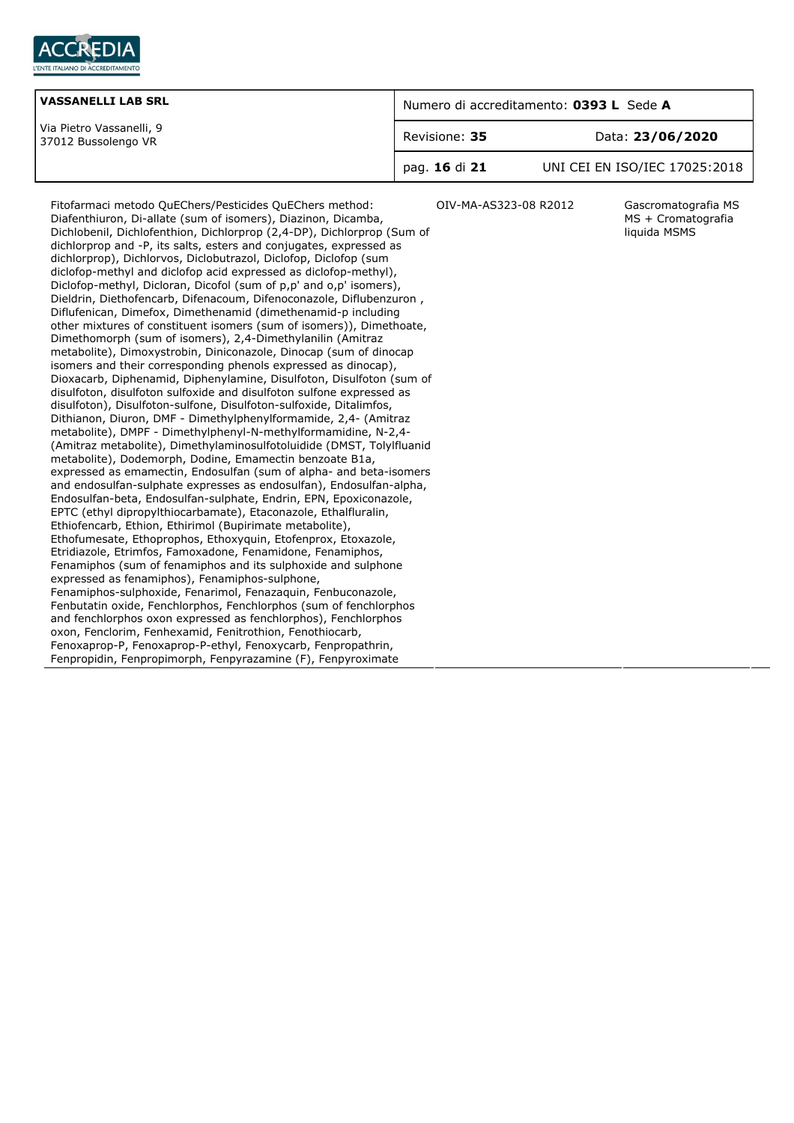

| <b>VASSANELLI LAB SRL</b>                       | Numero di accreditamento: 0393 L Sede A |                               |  |
|-------------------------------------------------|-----------------------------------------|-------------------------------|--|
| Via Pietro Vassanelli, 9<br>37012 Bussolengo VR | Revisione: 35                           | Data: 23/06/2020              |  |
|                                                 | pag. 16 di 21                           | UNI CEI EN ISO/IEC 17025:2018 |  |

OIV-MA-AS323-08 R2012 Gascromatografia MS

MS + Cromatografia liquida MSMS

Fitofarmaci metodo QuEChers/Pesticides QuEChers method: Diafenthiuron, Di-allate (sum of isomers), Diazinon, Dicamba, Dichlobenil, Dichlofenthion, Dichlorprop (2,4-DP), Dichlorprop (Sum of dichlorprop and -P, its salts, esters and conjugates, expressed as dichlorprop), Dichlorvos, Diclobutrazol, Diclofop, Diclofop (sum diclofop-methyl and diclofop acid expressed as diclofop-methyl), Diclofop-methyl, Dicloran, Dicofol (sum of p,p' and o,p' isomers), Dieldrin, Diethofencarb, Difenacoum, Difenoconazole, Diflubenzuron , Diflufenican, Dimefox, Dimethenamid (dimethenamid-p including other mixtures of constituent isomers (sum of isomers)), Dimethoate, Dimethomorph (sum of isomers), 2,4-Dimethylanilin (Amitraz metabolite), Dimoxystrobin, Diniconazole, Dinocap (sum of dinocap isomers and their corresponding phenols expressed as dinocap), Dioxacarb, Diphenamid, Diphenylamine, Disulfoton, Disulfoton (sum of disulfoton, disulfoton sulfoxide and disulfoton sulfone expressed as disulfoton), Disulfoton-sulfone, Disulfoton-sulfoxide, Ditalimfos, Dithianon, Diuron, DMF - Dimethylphenylformamide, 2,4- (Amitraz metabolite), DMPF - Dimethylphenyl-N-methylformamidine, N-2,4- (Amitraz metabolite), Dimethylaminosulfotoluidide (DMST, Tolylfluanid metabolite), Dodemorph, Dodine, Emamectin benzoate B1a, expressed as emamectin, Endosulfan (sum of alpha- and beta-isomers and endosulfan-sulphate expresses as endosulfan), Endosulfan-alpha, Endosulfan-beta, Endosulfan-sulphate, Endrin, EPN, Epoxiconazole, EPTC (ethyl dipropylthiocarbamate), Etaconazole, Ethalfluralin, Ethiofencarb, Ethion, Ethirimol (Bupirimate metabolite), Ethofumesate, Ethoprophos, Ethoxyquin, Etofenprox, Etoxazole, Etridiazole, Etrimfos, Famoxadone, Fenamidone, Fenamiphos, Fenamiphos (sum of fenamiphos and its sulphoxide and sulphone expressed as fenamiphos), Fenamiphos-sulphone, Fenamiphos-sulphoxide, Fenarimol, Fenazaquin, Fenbuconazole, Fenbutatin oxide, Fenchlorphos, Fenchlorphos (sum of fenchlorphos and fenchlorphos oxon expressed as fenchlorphos), Fenchlorphos oxon, Fenclorim, Fenhexamid, Fenitrothion, Fenothiocarb, Fenoxaprop-P, Fenoxaprop-P-ethyl, Fenoxycarb, Fenpropathrin, Fenpropidin, Fenpropimorph, Fenpyrazamine (F), Fenpyroximate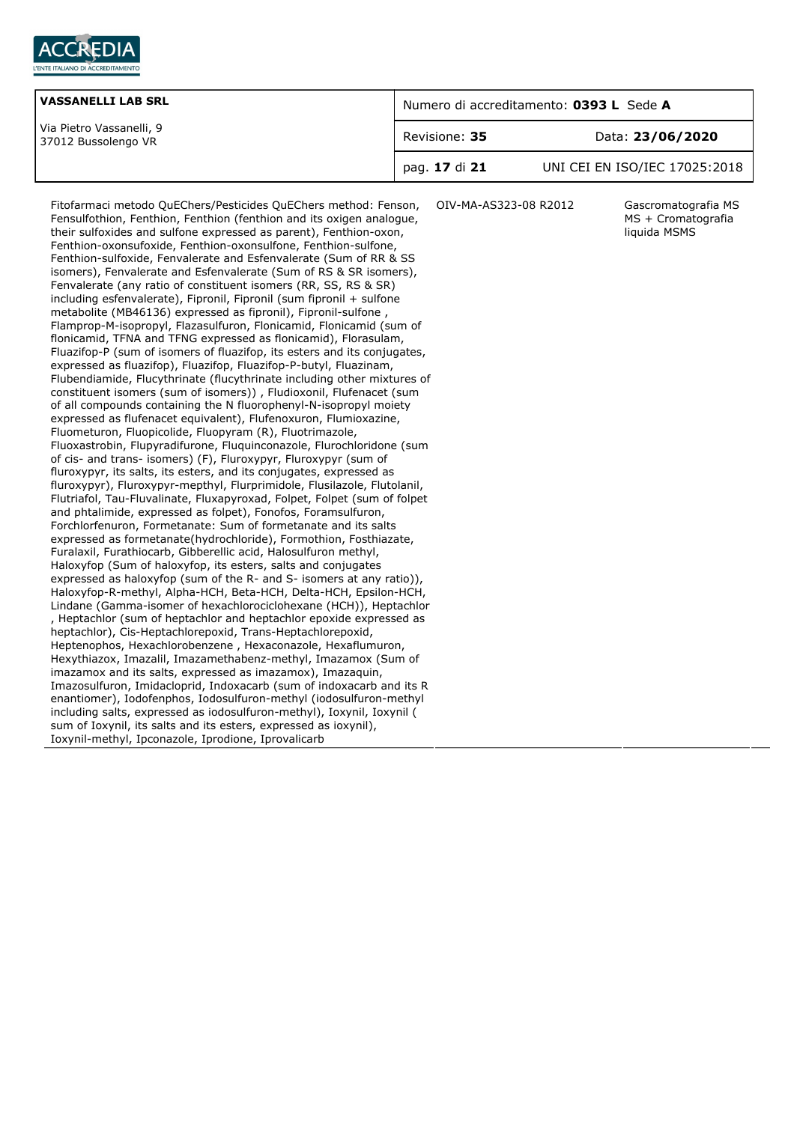

| <b>VASSANELLI LAB SRL</b>                       | Numero di accreditamento: 0393 L Sede A |                               |
|-------------------------------------------------|-----------------------------------------|-------------------------------|
| Via Pietro Vassanelli, 9<br>37012 Bussolengo VR | Revisione: 35                           | Data: 23/06/2020              |
|                                                 | pag. 17 di 21                           | UNI CEI EN ISO/IEC 17025:2018 |

Fitofarmaci metodo QuEChers/Pesticides QuEChers method: Fenson, Fensulfothion, Fenthion, Fenthion (fenthion and its oxigen analogue, their sulfoxides and sulfone expressed as parent), Fenthion-oxon, Fenthion-oxonsufoxide, Fenthion-oxonsulfone, Fenthion-sulfone, Fenthion-sulfoxide, Fenvalerate and Esfenvalerate (Sum of RR & SS isomers), Fenvalerate and Esfenvalerate (Sum of RS & SR isomers), Fenvalerate (any ratio of constituent isomers (RR, SS, RS & SR) including esfenvalerate), Fipronil, Fipronil (sum fipronil + sulfone metabolite (MB46136) expressed as fipronil), Fipronil-sulfone , Flamprop-M-isopropyl, Flazasulfuron, Flonicamid, Flonicamid (sum of flonicamid, TFNA and TFNG expressed as flonicamid), Florasulam, Fluazifop-P (sum of isomers of fluazifop, its esters and its conjugates, expressed as fluazifop), Fluazifop, Fluazifop-P-butyl, Fluazinam, Flubendiamide, Flucythrinate (flucythrinate including other mixtures of constituent isomers (sum of isomers)) , Fludioxonil, Flufenacet (sum of all compounds containing the N fluorophenyl-N-isopropyl moiety expressed as flufenacet equivalent), Flufenoxuron, Flumioxazine, Fluometuron, Fluopicolide, Fluopyram (R), Fluotrimazole, Fluoxastrobin, Flupyradifurone, Fluquinconazole, Flurochloridone (sum of cis- and trans- isomers) (F), Fluroxypyr, Fluroxypyr (sum of fluroxypyr, its salts, its esters, and its conjugates, expressed as fluroxypyr), Fluroxypyr-mepthyl, Flurprimidole, Flusilazole, Flutolanil, Flutriafol, Tau-Fluvalinate, Fluxapyroxad, Folpet, Folpet (sum of folpet and phtalimide, expressed as folpet), Fonofos, Foramsulfuron, Forchlorfenuron, Formetanate: Sum of formetanate and its salts expressed as formetanate(hydrochloride), Formothion, Fosthiazate, Furalaxil, Furathiocarb, Gibberellic acid, Halosulfuron methyl, Haloxyfop (Sum of haloxyfop, its esters, salts and conjugates expressed as haloxyfop (sum of the R- and S- isomers at any ratio)), Haloxyfop-R-methyl, Alpha-HCH, Beta-HCH, Delta-HCH, Epsilon-HCH, Lindane (Gamma-isomer of hexachlorociclohexane (HCH)), Heptachlor , Heptachlor (sum of heptachlor and heptachlor epoxide expressed as heptachlor), Cis-Heptachlorepoxid, Trans-Heptachlorepoxid, Heptenophos, Hexachlorobenzene , Hexaconazole, Hexaflumuron, Hexythiazox, Imazalil, Imazamethabenz-methyl, Imazamox (Sum of imazamox and its salts, expressed as imazamox), Imazaquin, Imazosulfuron, Imidacloprid, Indoxacarb (sum of indoxacarb and its R enantiomer), Iodofenphos, Iodosulfuron-methyl (iodosulfuron-methyl including salts, expressed as iodosulfuron-methyl), Ioxynil, Ioxynil ( sum of Ioxynil, its salts and its esters, expressed as ioxynil), Ioxynil-methyl, Ipconazole, Iprodione, Iprovalicarb

OIV-MA-AS323-08 R2012 Gascromatografia MS

MS + Cromatografia liquida MSMS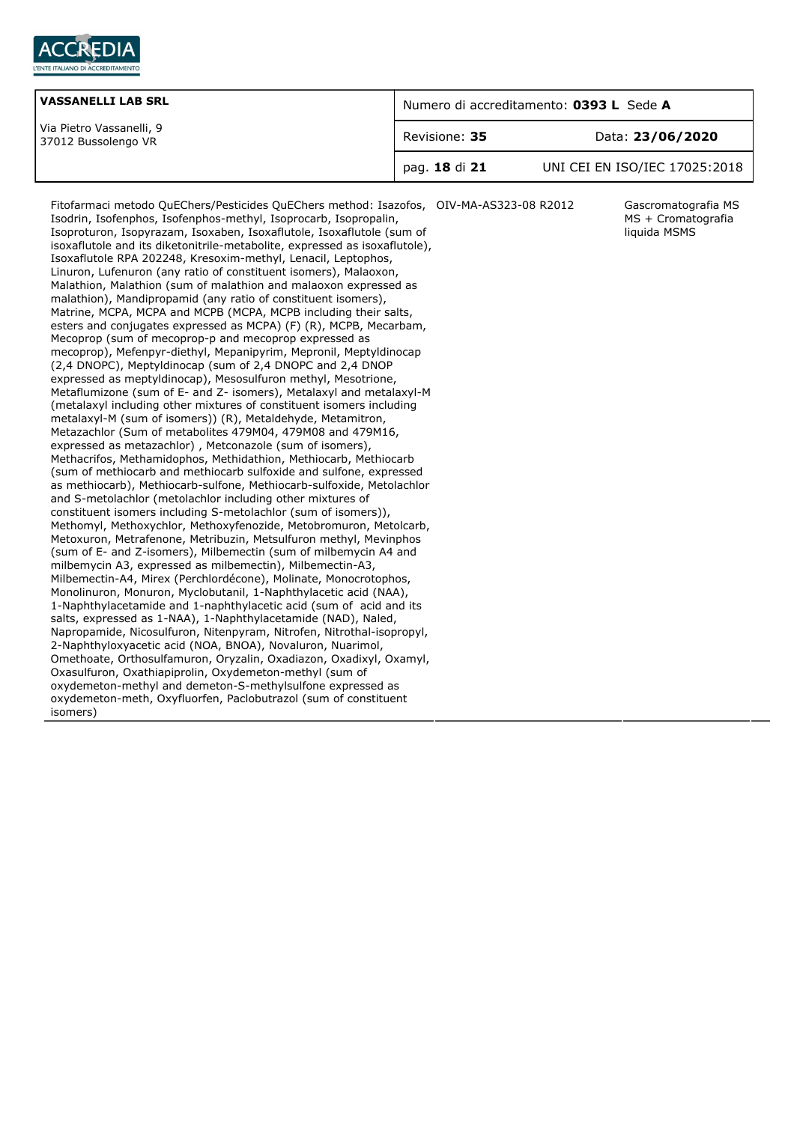

| <b>VASSANELLI LAB SRL</b>                       | Numero di accreditamento: 0393 L Sede A |                               |
|-------------------------------------------------|-----------------------------------------|-------------------------------|
| Via Pietro Vassanelli, 9<br>37012 Bussolengo VR | Revisione: 35                           | Data: 23/06/2020              |
|                                                 | pag. 18 di 21                           | UNI CEI EN ISO/IEC 17025:2018 |

Fitofarmaci metodo QuEChers/Pesticides QuEChers method: Isazofos, OIV-MA-AS323-08 R2012 Gascromatografia MS Isodrin, Isofenphos, Isofenphos-methyl, Isoprocarb, Isopropalin, Isoproturon, Isopyrazam, Isoxaben, Isoxaflutole, Isoxaflutole (sum of isoxaflutole and its diketonitrile-metabolite, expressed as isoxaflutole), Isoxaflutole RPA 202248, Kresoxim-methyl, Lenacil, Leptophos, Linuron, Lufenuron (any ratio of constituent isomers), Malaoxon, Malathion, Malathion (sum of malathion and malaoxon expressed as malathion), Mandipropamid (any ratio of constituent isomers), Matrine, MCPA, MCPA and MCPB (MCPA, MCPB including their salts, esters and conjugates expressed as MCPA) (F) (R), MCPB, Mecarbam, Mecoprop (sum of mecoprop-p and mecoprop expressed as mecoprop), Mefenpyr-diethyl, Mepanipyrim, Mepronil, Meptyldinocap (2,4 DNOPC), Meptyldinocap (sum of 2,4 DNOPC and 2,4 DNOP expressed as meptyldinocap), Mesosulfuron methyl, Mesotrione, Metaflumizone (sum of E- and Z- isomers), Metalaxyl and metalaxyl-M (metalaxyl including other mixtures of constituent isomers including metalaxyl-M (sum of isomers)) (R), Metaldehyde, Metamitron, Metazachlor (Sum of metabolites 479M04, 479M08 and 479M16, expressed as metazachlor) , Metconazole (sum of isomers), Methacrifos, Methamidophos, Methidathion, Methiocarb, Methiocarb (sum of methiocarb and methiocarb sulfoxide and sulfone, expressed as methiocarb), Methiocarb-sulfone, Methiocarb-sulfoxide, Metolachlor and S-metolachlor (metolachlor including other mixtures of constituent isomers including S-metolachlor (sum of isomers)), Methomyl, Methoxychlor, Methoxyfenozide, Metobromuron, Metolcarb, Metoxuron, Metrafenone, Metribuzin, Metsulfuron methyl, Mevinphos (sum of E- and Z-isomers), Milbemectin (sum of milbemycin A4 and milbemycin A3, expressed as milbemectin), Milbemectin-A3, Milbemectin-A4, Mirex (Perchlordécone), Molinate, Monocrotophos, Monolinuron, Monuron, Myclobutanil, 1-Naphthylacetic acid (NAA), 1-Naphthylacetamide and 1-naphthylacetic acid (sum of acid and its salts, expressed as 1-NAA), 1-Naphthylacetamide (NAD), Naled, Napropamide, Nicosulfuron, Nitenpyram, Nitrofen, Nitrothal-isopropyl, 2-Naphthyloxyacetic acid (NOA, BNOA), Novaluron, Nuarimol, Omethoate, Orthosulfamuron, Oryzalin, Oxadiazon, Oxadixyl, Oxamyl, Oxasulfuron, Oxathiapiprolin, Oxydemeton-methyl (sum of oxydemeton-methyl and demeton-S-methylsulfone expressed as oxydemeton-meth, Oxyfluorfen, Paclobutrazol (sum of constituent isomers)

MS + Cromatografia liquida MSMS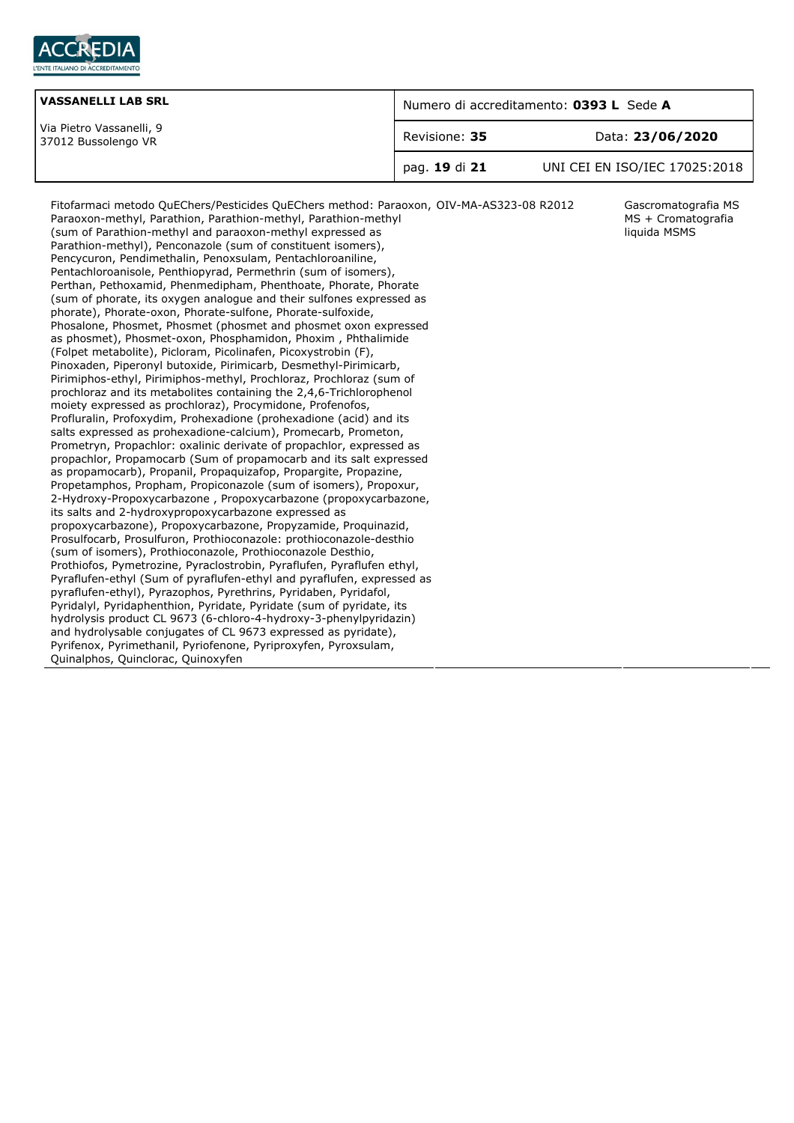

| <b>VASSANELLI LAB SRL</b>                       | Numero di accreditamento: 0393 L Sede A |                               |
|-------------------------------------------------|-----------------------------------------|-------------------------------|
| Via Pietro Vassanelli, 9<br>37012 Bussolengo VR | Revisione: 35                           | Data: 23/06/2020              |
|                                                 | pag. 19 di 21                           | UNI CEI EN ISO/IEC 17025:2018 |

MS + Cromatografia liquida MSMS

Fitofarmaci metodo QuEChers/Pesticides QuEChers method: Paraoxon, OIV-MA-AS323-08 R2012 Gascromatografia MS Paraoxon-methyl, Parathion, Parathion-methyl, Parathion-methyl (sum of Parathion-methyl and paraoxon-methyl expressed as Parathion-methyl), Penconazole (sum of constituent isomers), Pencycuron, Pendimethalin, Penoxsulam, Pentachloroaniline, Pentachloroanisole, Penthiopyrad, Permethrin (sum of isomers), Perthan, Pethoxamid, Phenmedipham, Phenthoate, Phorate, Phorate (sum of phorate, its oxygen analogue and their sulfones expressed as phorate), Phorate-oxon, Phorate-sulfone, Phorate-sulfoxide, Phosalone, Phosmet, Phosmet (phosmet and phosmet oxon expressed as phosmet), Phosmet-oxon, Phosphamidon, Phoxim , Phthalimide (Folpet metabolite), Picloram, Picolinafen, Picoxystrobin (F), Pinoxaden, Piperonyl butoxide, Pirimicarb, Desmethyl-Pirimicarb, Pirimiphos-ethyl, Pirimiphos-methyl, Prochloraz, Prochloraz (sum of prochloraz and its metabolites containing the 2,4,6-Trichlorophenol moiety expressed as prochloraz), Procymidone, Profenofos, Profluralin, Profoxydim, Prohexadione (prohexadione (acid) and its salts expressed as prohexadione-calcium), Promecarb, Prometon, Prometryn, Propachlor: oxalinic derivate of propachlor, expressed as propachlor, Propamocarb (Sum of propamocarb and its salt expressed as propamocarb), Propanil, Propaquizafop, Propargite, Propazine, Propetamphos, Propham, Propiconazole (sum of isomers), Propoxur, 2-Hydroxy-Propoxycarbazone , Propoxycarbazone (propoxycarbazone, its salts and 2-hydroxypropoxycarbazone expressed as propoxycarbazone), Propoxycarbazone, Propyzamide, Proquinazid, Prosulfocarb, Prosulfuron, Prothioconazole: prothioconazole-desthio (sum of isomers), Prothioconazole, Prothioconazole Desthio, Prothiofos, Pymetrozine, Pyraclostrobin, Pyraflufen, Pyraflufen ethyl, Pyraflufen-ethyl (Sum of pyraflufen-ethyl and pyraflufen, expressed as pyraflufen-ethyl), Pyrazophos, Pyrethrins, Pyridaben, Pyridafol, Pyridalyl, Pyridaphenthion, Pyridate, Pyridate (sum of pyridate, its hydrolysis product CL 9673 (6-chloro-4-hydroxy-3-phenylpyridazin) and hydrolysable conjugates of CL 9673 expressed as pyridate), Pyrifenox, Pyrimethanil, Pyriofenone, Pyriproxyfen, Pyroxsulam, Quinalphos, Quinclorac, Quinoxyfen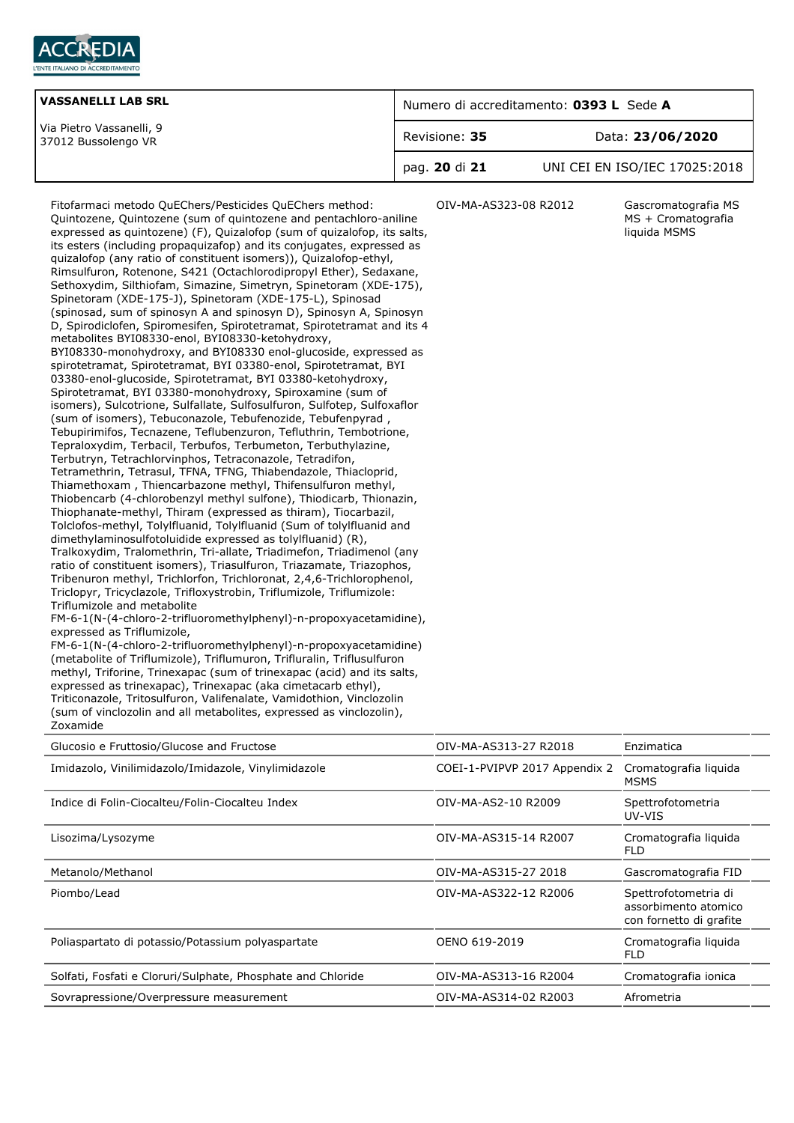

| <b>VASSANELLI LAB SRL</b>                       | Numero di accreditamento: 0393 L Sede A |                               |
|-------------------------------------------------|-----------------------------------------|-------------------------------|
| Via Pietro Vassanelli, 9<br>37012 Bussolengo VR | Revisione: 35                           | Data: 23/06/2020              |
|                                                 | pag. 20 di 21                           | UNI CEI EN ISO/IEC 17025:2018 |

Fitofarmaci metodo QuEChers/Pesticides QuEChers method: Quintozene, Quintozene (sum of quintozene and pentachloro-aniline expressed as quintozene) (F), Quizalofop (sum of quizalofop, its salts, its esters (including propaquizafop) and its conjugates, expressed as quizalofop (any ratio of constituent isomers)), Quizalofop-ethyl, Rimsulfuron, Rotenone, S421 (Octachlorodipropyl Ether), Sedaxane, Sethoxydim, Silthiofam, Simazine, Simetryn, Spinetoram (XDE-175), Spinetoram (XDE-175-J), Spinetoram (XDE-175-L), Spinosad (spinosad, sum of spinosyn A and spinosyn D), Spinosyn A, Spinosyn D, Spirodiclofen, Spiromesifen, Spirotetramat, Spirotetramat and its 4 metabolites BYI08330-enol, BYI08330-ketohydroxy, BYI08330-monohydroxy, and BYI08330 enol-glucoside, expressed as spirotetramat, Spirotetramat, BYI 03380-enol, Spirotetramat, BYI 03380-enol-glucoside, Spirotetramat, BYI 03380-ketohydroxy, Spirotetramat, BYI 03380-monohydroxy, Spiroxamine (sum of isomers), Sulcotrione, Sulfallate, Sulfosulfuron, Sulfotep, Sulfoxaflor (sum of isomers), Tebuconazole, Tebufenozide, Tebufenpyrad , Tebupirimifos, Tecnazene, Teflubenzuron, Tefluthrin, Tembotrione, Tepraloxydim, Terbacil, Terbufos, Terbumeton, Terbuthylazine, Terbutryn, Tetrachlorvinphos, Tetraconazole, Tetradifon, Tetramethrin, Tetrasul, TFNA, TFNG, Thiabendazole, Thiacloprid, Thiamethoxam , Thiencarbazone methyl, Thifensulfuron methyl, Thiobencarb (4-chlorobenzyl methyl sulfone), Thiodicarb, Thionazin, Thiophanate-methyl, Thiram (expressed as thiram), Tiocarbazil, Tolclofos-methyl, Tolylfluanid, Tolylfluanid (Sum of tolylfluanid and dimethylaminosulfotoluidide expressed as tolylfluanid) (R), Tralkoxydim, Tralomethrin, Tri-allate, Triadimefon, Triadimenol (any ratio of constituent isomers), Triasulfuron, Triazamate, Triazophos, Tribenuron methyl, Trichlorfon, Trichloronat, 2,4,6-Trichlorophenol, Triclopyr, Tricyclazole, Trifloxystrobin, Triflumizole, Triflumizole: Triflumizole and metabolite FM-6-1(N-(4-chloro-2-trifluoromethylphenyl)-n-propoxyacetamidine), expressed as Triflumizole, FM-6-1(N-(4-chloro-2-trifluoromethylphenyl)-n-propoxyacetamidine)

(metabolite of Triflumizole), Triflumuron, Trifluralin, Triflusulfuron methyl, Triforine, Trinexapac (sum of trinexapac (acid) and its salts, expressed as trinexapac), Trinexapac (aka cimetacarb ethyl), Triticonazole, Tritosulfuron, Valifenalate, Vamidothion, Vinclozolin (sum of vinclozolin and all metabolites, expressed as vinclozolin), Zoxamide

OIV-MA-AS323-08 R2012 Gascromatografia MS MS + Cromatografia liquida MSMS

| Glucosio e Fruttosio/Glucose and Fructose                   | OIV-MA-AS313-27 R2018         | Enzimatica                                                              |
|-------------------------------------------------------------|-------------------------------|-------------------------------------------------------------------------|
| Imidazolo, Vinilimidazolo/Imidazole, Vinylimidazole         | COEI-1-PVIPVP 2017 Appendix 2 | Cromatografia liguida<br><b>MSMS</b>                                    |
| Indice di Folin-Ciocalteu/Folin-Ciocalteu Index             | OIV-MA-AS2-10 R2009           | Spettrofotometria<br>UV-VIS                                             |
| Lisozima/Lysozyme                                           | OIV-MA-AS315-14 R2007         | Cromatografia liguida<br>FLD                                            |
| Metanolo/Methanol                                           | OIV-MA-AS315-27 2018          | Gascromatografia FID                                                    |
| Piombo/Lead                                                 | OIV-MA-AS322-12 R2006         | Spettrofotometria di<br>assorbimento atomico<br>con fornetto di grafite |
| Poliaspartato di potassio/Potassium polyaspartate           | OENO 619-2019                 | Cromatografia liguida<br><b>FLD</b>                                     |
| Solfati, Fosfati e Cloruri/Sulphate, Phosphate and Chloride | OIV-MA-AS313-16 R2004         | Cromatografia ionica                                                    |
| Sovrapressione/Overpressure measurement                     | OIV-MA-AS314-02 R2003         | Afrometria                                                              |